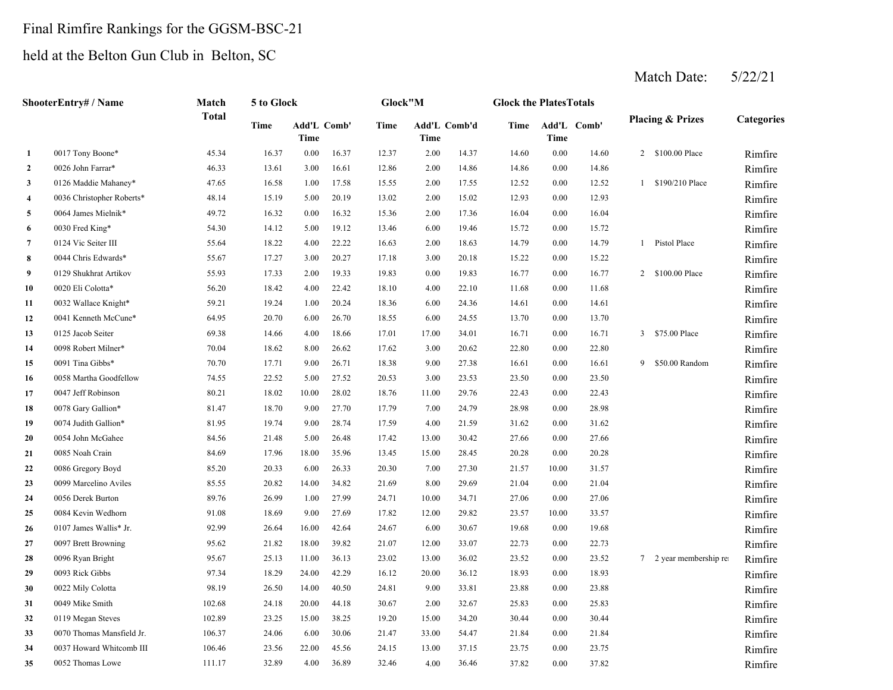# Final Rimfire Rankings for the GGSM-BSC-21

# held at the Belton Gun Club in Belton, SC

Match Date: 5/22/21

|                  | ShooterEntry# / Name      | Match        | 5 to Glock |                     |       | Glock"M |       |              | <b>Glock the PlatesTotals</b> |          |             |   |                             |                   |
|------------------|---------------------------|--------------|------------|---------------------|-------|---------|-------|--------------|-------------------------------|----------|-------------|---|-----------------------------|-------------------|
|                  |                           | <b>Total</b> | Time       | Add'L Comb'<br>Time |       | Time    | Time  | Add'L Comb'd | Time                          | Time     | Add'L Comb' |   | <b>Placing &amp; Prizes</b> | <b>Categories</b> |
| $\mathbf{1}$     | 0017 Tony Boone*          | 45.34        | 16.37      | $0.00\,$            | 16.37 | 12.37   | 2.00  | 14.37        | 14.60                         | 0.00     | 14.60       |   | 2 \$100.00 Place            | Rimfire           |
| $\overline{2}$   | 0026 John Farrar*         | 46.33        | 13.61      | 3.00                | 16.61 | 12.86   | 2.00  | 14.86        | 14.86                         | 0.00     | 14.86       |   |                             | Rimfire           |
| 3                | 0126 Maddie Mahaney*      | 47.65        | 16.58      | 1.00                | 17.58 | 15.55   | 2.00  | 17.55        | 12.52                         | $0.00\,$ | 12.52       |   | 1 \$190/210 Place           | Rimfire           |
| 4                | 0036 Christopher Roberts* | 48.14        | 15.19      | 5.00                | 20.19 | 13.02   | 2.00  | 15.02        | 12.93                         | $0.00\,$ | 12.93       |   |                             | Rimfire           |
| 5                | 0064 James Mielnik*       | 49.72        | 16.32      | 0.00                | 16.32 | 15.36   | 2.00  | 17.36        | 16.04                         | $0.00\,$ | 16.04       |   |                             | Rimfire           |
| 6                | 0030 Fred King*           | 54.30        | 14.12      | 5.00                | 19.12 | 13.46   | 6.00  | 19.46        | 15.72                         | $0.00\,$ | 15.72       |   |                             | Rimfire           |
| $\boldsymbol{7}$ | 0124 Vic Seiter III       | 55.64        | 18.22      | 4.00                | 22.22 | 16.63   | 2.00  | 18.63        | 14.79                         | 0.00     | 14.79       |   | 1 Pistol Place              | Rimfire           |
| 8                | 0044 Chris Edwards*       | 55.67        | 17.27      | 3.00                | 20.27 | 17.18   | 3.00  | 20.18        | 15.22                         | 0.00     | 15.22       |   |                             | Rimfire           |
| 9                | 0129 Shukhrat Artikov     | 55.93        | 17.33      | 2.00                | 19.33 | 19.83   | 0.00  | 19.83        | 16.77                         | 0.00     | 16.77       |   | 2 \$100.00 Place            | Rimfire           |
| 10               | 0020 Eli Colotta*         | 56.20        | 18.42      | 4.00                | 22.42 | 18.10   | 4.00  | 22.10        | 11.68                         | 0.00     | 11.68       |   |                             | Rimfire           |
| 11               | 0032 Wallace Knight*      | 59.21        | 19.24      | 1.00                | 20.24 | 18.36   | 6.00  | 24.36        | 14.61                         | 0.00     | 14.61       |   |                             | Rimfire           |
| 12               | 0041 Kenneth McCune*      | 64.95        | 20.70      | 6.00                | 26.70 | 18.55   | 6.00  | 24.55        | 13.70                         | 0.00     | 13.70       |   |                             | Rimfire           |
| 13               | 0125 Jacob Seiter         | 69.38        | 14.66      | 4.00                | 18.66 | 17.01   | 17.00 | 34.01        | 16.71                         | 0.00     | 16.71       |   | 3 \$75.00 Place             | Rimfire           |
| 14               | 0098 Robert Milner*       | 70.04        | 18.62      | 8.00                | 26.62 | 17.62   | 3.00  | 20.62        | 22.80                         | 0.00     | 22.80       |   |                             | Rimfire           |
| 15               | 0091 Tina Gibbs*          | 70.70        | 17.71      | 9.00                | 26.71 | 18.38   | 9.00  | 27.38        | 16.61                         | 0.00     | 16.61       | 9 | \$50.00 Random              | Rimfire           |
| 16               | 0058 Martha Goodfellow    | 74.55        | 22.52      | 5.00                | 27.52 | 20.53   | 3.00  | 23.53        | 23.50                         | 0.00     | 23.50       |   |                             | Rimfire           |
| 17               | 0047 Jeff Robinson        | 80.21        | 18.02      | 10.00               | 28.02 | 18.76   | 11.00 | 29.76        | 22.43                         | 0.00     | 22.43       |   |                             | Rimfire           |
| 18               | 0078 Gary Gallion*        | 81.47        | 18.70      | 9.00                | 27.70 | 17.79   | 7.00  | 24.79        | 28.98                         | 0.00     | 28.98       |   |                             | Rimfire           |
| 19               | 0074 Judith Gallion*      | 81.95        | 19.74      | 9.00                | 28.74 | 17.59   | 4.00  | 21.59        | 31.62                         | 0.00     | 31.62       |   |                             | Rimfire           |
| 20               | 0054 John McGahee         | 84.56        | 21.48      | 5.00                | 26.48 | 17.42   | 13.00 | 30.42        | 27.66                         | 0.00     | 27.66       |   |                             | Rimfire           |
| 21               | 0085 Noah Crain           | 84.69        | 17.96      | 18.00               | 35.96 | 13.45   | 15.00 | 28.45        | 20.28                         | 0.00     | 20.28       |   |                             | Rimfire           |
| 22               | 0086 Gregory Boyd         | 85.20        | 20.33      | 6.00                | 26.33 | 20.30   | 7.00  | 27.30        | 21.57                         | 10.00    | 31.57       |   |                             | Rimfire           |
| 23               | 0099 Marcelino Aviles     | 85.55        | 20.82      | 14.00               | 34.82 | 21.69   | 8.00  | 29.69        | 21.04                         | 0.00     | 21.04       |   |                             | Rimfire           |
| 24               | 0056 Derek Burton         | 89.76        | 26.99      | 1.00                | 27.99 | 24.71   | 10.00 | 34.71        | 27.06                         | 0.00     | 27.06       |   |                             | Rimfire           |
| 25               | 0084 Kevin Wedhorn        | 91.08        | 18.69      | 9.00                | 27.69 | 17.82   | 12.00 | 29.82        | 23.57                         | 10.00    | 33.57       |   |                             | Rimfire           |
| 26               | 0107 James Wallis* Jr.    | 92.99        | 26.64      | 16.00               | 42.64 | 24.67   | 6.00  | 30.67        | 19.68                         | 0.00     | 19.68       |   |                             | Rimfire           |
| 27               | 0097 Brett Browning       | 95.62        | 21.82      | 18.00               | 39.82 | 21.07   | 12.00 | 33.07        | 22.73                         | 0.00     | 22.73       |   |                             | Rimfire           |
| 28               | 0096 Ryan Bright          | 95.67        | 25.13      | 11.00               | 36.13 | 23.02   | 13.00 | 36.02        | 23.52                         | 0.00     | 23.52       |   | 7 2 year membership re      | Rimfire           |
| 29               | 0093 Rick Gibbs           | 97.34        | 18.29      | 24.00               | 42.29 | 16.12   | 20.00 | 36.12        | 18.93                         | 0.00     | 18.93       |   |                             | Rimfire           |
| 30               | 0022 Mily Colotta         | 98.19        | 26.50      | 14.00               | 40.50 | 24.81   | 9.00  | 33.81        | 23.88                         | 0.00     | 23.88       |   |                             | Rimfire           |
| 31               | 0049 Mike Smith           | 102.68       | 24.18      | 20.00               | 44.18 | 30.67   | 2.00  | 32.67        | 25.83                         | 0.00     | 25.83       |   |                             | Rimfire           |
| 32               | 0119 Megan Steves         | 102.89       | 23.25      | 15.00               | 38.25 | 19.20   | 15.00 | 34.20        | 30.44                         | 0.00     | 30.44       |   |                             | Rimfire           |
| 33               | 0070 Thomas Mansfield Jr. | 106.37       | 24.06      | 6.00                | 30.06 | 21.47   | 33.00 | 54.47        | 21.84                         | 0.00     | 21.84       |   |                             | Rimfire           |
| 34               | 0037 Howard Whitcomb III  | 106.46       | 23.56      | 22.00               | 45.56 | 24.15   | 13.00 | 37.15        | 23.75                         | 0.00     | 23.75       |   |                             | Rimfire           |
| 35               | 0052 Thomas Lowe          | 111.17       | 32.89      | 4.00                | 36.89 | 32.46   | 4.00  | 36.46        | 37.82                         | 0.00     | 37.82       |   |                             | Rimfire           |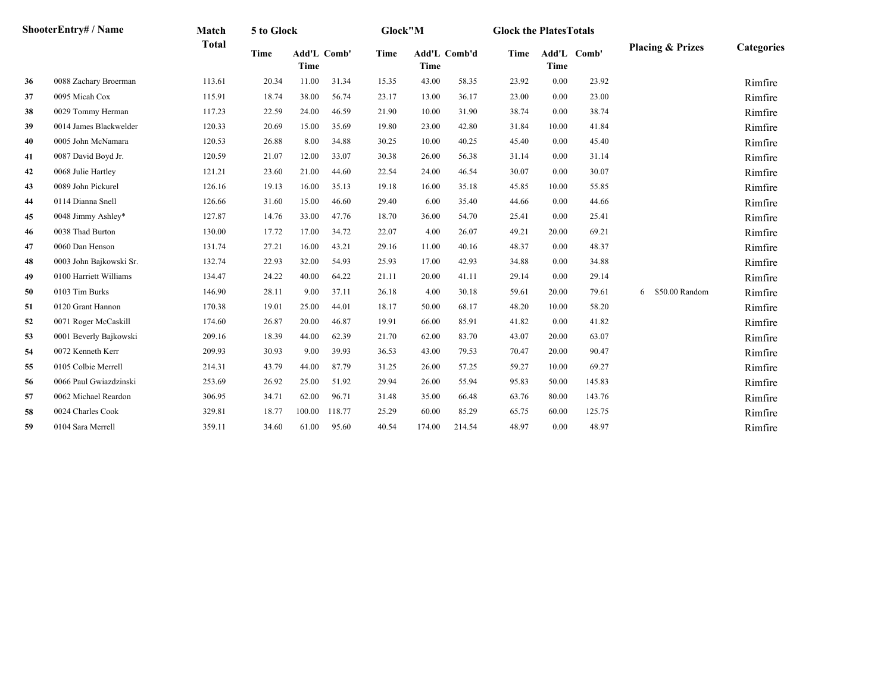|    | ShooterEntry# / Name    | Match        | 5 to Glock |                            |        | Glock"M |        |              | <b>Glock the Plates Totals</b> |             |             |                             |            |
|----|-------------------------|--------------|------------|----------------------------|--------|---------|--------|--------------|--------------------------------|-------------|-------------|-----------------------------|------------|
|    |                         | <b>Total</b> | Time       | <b>Add'L Comb'</b><br>Time |        | Time    | Time   | Add'L Comb'd | <b>Time</b>                    | <b>Time</b> | Add'L Comb' | <b>Placing &amp; Prizes</b> | Categories |
| 36 | 0088 Zachary Broerman   | 113.61       | 20.34      | 11.00                      | 31.34  | 15.35   | 43.00  | 58.35        | 23.92                          | 0.00        | 23.92       |                             | Rimfire    |
| 37 | 0095 Micah Cox          | 115.91       | 18.74      | 38.00                      | 56.74  | 23.17   | 13.00  | 36.17        | 23.00                          | 0.00        | 23.00       |                             | Rimfire    |
| 38 | 0029 Tommy Herman       | 117.23       | 22.59      | 24.00                      | 46.59  | 21.90   | 10.00  | 31.90        | 38.74                          | 0.00        | 38.74       |                             | Rimfire    |
| 39 | 0014 James Blackwelder  | 120.33       | 20.69      | 15.00                      | 35.69  | 19.80   | 23.00  | 42.80        | 31.84                          | 10.00       | 41.84       |                             | Rimfire    |
| 40 | 0005 John McNamara      | 120.53       | 26.88      | 8.00                       | 34.88  | 30.25   | 10.00  | 40.25        | 45.40                          | 0.00        | 45.40       |                             | Rimfire    |
| 41 | 0087 David Boyd Jr.     | 120.59       | 21.07      | 12.00                      | 33.07  | 30.38   | 26.00  | 56.38        | 31.14                          | 0.00        | 31.14       |                             | Rimfire    |
| 42 | 0068 Julie Hartley      | 121.21       | 23.60      | 21.00                      | 44.60  | 22.54   | 24.00  | 46.54        | 30.07                          | 0.00        | 30.07       |                             | Rimfire    |
| 43 | 0089 John Pickurel      | 126.16       | 19.13      | 16.00                      | 35.13  | 19.18   | 16.00  | 35.18        | 45.85                          | 10.00       | 55.85       |                             | Rimfire    |
| 44 | 0114 Dianna Snell       | 126.66       | 31.60      | 15.00                      | 46.60  | 29.40   | 6.00   | 35.40        | 44.66                          | 0.00        | 44.66       |                             | Rimfire    |
| 45 | 0048 Jimmy Ashley*      | 127.87       | 14.76      | 33.00                      | 47.76  | 18.70   | 36.00  | 54.70        | 25.41                          | 0.00        | 25.41       |                             | Rimfire    |
| 46 | 0038 Thad Burton        | 130.00       | 17.72      | 17.00                      | 34.72  | 22.07   | 4.00   | 26.07        | 49.21                          | 20.00       | 69.21       |                             | Rimfire    |
| 47 | 0060 Dan Henson         | 131.74       | 27.21      | 16.00                      | 43.21  | 29.16   | 11.00  | 40.16        | 48.37                          | 0.00        | 48.37       |                             | Rimfire    |
| 48 | 0003 John Bajkowski Sr. | 132.74       | 22.93      | 32.00                      | 54.93  | 25.93   | 17.00  | 42.93        | 34.88                          | 0.00        | 34.88       |                             | Rimfire    |
| 49 | 0100 Harriett Williams  | 134.47       | 24.22      | 40.00                      | 64.22  | 21.11   | 20.00  | 41.11        | 29.14                          | 0.00        | 29.14       |                             | Rimfire    |
| 50 | 0103 Tim Burks          | 146.90       | 28.11      | 9.00                       | 37.11  | 26.18   | 4.00   | 30.18        | 59.61                          | 20.00       | 79.61       | \$50.00 Random<br>6         | Rimfire    |
| 51 | 0120 Grant Hannon       | 170.38       | 19.01      | 25.00                      | 44.01  | 18.17   | 50.00  | 68.17        | 48.20                          | 10.00       | 58.20       |                             | Rimfire    |
| 52 | 0071 Roger McCaskill    | 174.60       | 26.87      | 20.00                      | 46.87  | 19.91   | 66.00  | 85.91        | 41.82                          | 0.00        | 41.82       |                             | Rimfire    |
| 53 | 0001 Beverly Bajkowski  | 209.16       | 18.39      | 44.00                      | 62.39  | 21.70   | 62.00  | 83.70        | 43.07                          | 20.00       | 63.07       |                             | Rimfire    |
| 54 | 0072 Kenneth Kerr       | 209.93       | 30.93      | 9.00                       | 39.93  | 36.53   | 43.00  | 79.53        | 70.47                          | 20.00       | 90.47       |                             | Rimfire    |
| 55 | 0105 Colbie Merrell     | 214.31       | 43.79      | 44.00                      | 87.79  | 31.25   | 26.00  | 57.25        | 59.27                          | 10.00       | 69.27       |                             | Rimfire    |
| 56 | 0066 Paul Gwiazdzinski  | 253.69       | 26.92      | 25.00                      | 51.92  | 29.94   | 26.00  | 55.94        | 95.83                          | 50.00       | 145.83      |                             | Rimfire    |
| 57 | 0062 Michael Reardon    | 306.95       | 34.71      | 62.00                      | 96.71  | 31.48   | 35.00  | 66.48        | 63.76                          | 80.00       | 143.76      |                             | Rimfire    |
| 58 | 0024 Charles Cook       | 329.81       | 18.77      | 100.00                     | 118.77 | 25.29   | 60.00  | 85.29        | 65.75                          | 60.00       | 125.75      |                             | Rimfire    |
| 59 | 0104 Sara Merrell       | 359.11       | 34.60      | 61.00                      | 95.60  | 40.54   | 174.00 | 214.54       | 48.97                          | 0.00        | 48.97       |                             | Rimfire    |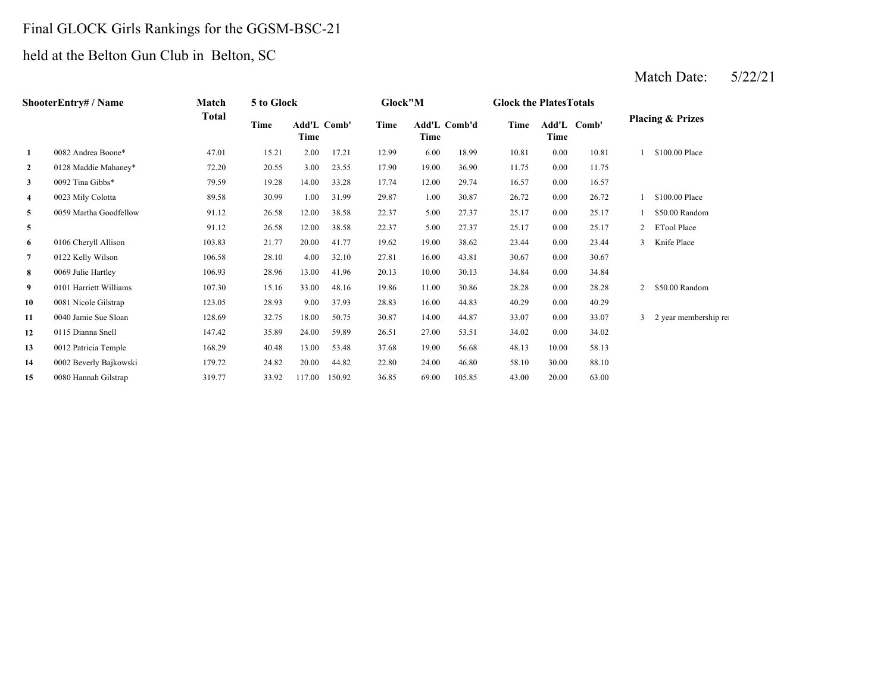# Final GLOCK Girls Rankings for the GGSM-BSC-21

# held at the Belton Gun Club in Belton, SC

# Match Date: 5/22/21

|                | ShooterEntry# / Name   | Match  | 5 to Glock |                     |        | Glock"M |       |              | <b>Glock the Plates Totals</b> |       |             |   |                             |
|----------------|------------------------|--------|------------|---------------------|--------|---------|-------|--------------|--------------------------------|-------|-------------|---|-----------------------------|
|                |                        | Total  | Time       | Add'L Comb'<br>Time |        | Time    | Time  | Add'L Comb'd | Time                           | Time  | Add'L Comb' |   | <b>Placing &amp; Prizes</b> |
| 1              | 0082 Andrea Boone*     | 47.01  | 15.21      | 2.00                | 17.21  | 12.99   | 6.00  | 18.99        | 10.81                          | 0.00  | 10.81       |   | \$100.00 Place              |
| $\mathbf{2}$   | 0128 Maddie Mahaney*   | 72.20  | 20.55      | 3.00                | 23.55  | 17.90   | 19.00 | 36.90        | 11.75                          | 0.00  | 11.75       |   |                             |
| 3              | 0092 Tina Gibbs*       | 79.59  | 19.28      | 14.00               | 33.28  | 17.74   | 12.00 | 29.74        | 16.57                          | 0.00  | 16.57       |   |                             |
| 4              | 0023 Mily Colotta      | 89.58  | 30.99      | 1.00                | 31.99  | 29.87   | 1.00  | 30.87        | 26.72                          | 0.00  | 26.72       |   | \$100.00 Place              |
| 5              | 0059 Martha Goodfellow | 91.12  | 26.58      | 12.00               | 38.58  | 22.37   | 5.00  | 27.37        | 25.17                          | 0.00  | 25.17       |   | \$50.00 Random              |
| 5              |                        | 91.12  | 26.58      | 12.00               | 38.58  | 22.37   | 5.00  | 27.37        | 25.17                          | 0.00  | 25.17       |   | <b>ETool Place</b>          |
| 6              | 0106 Cheryll Allison   | 103.83 | 21.77      | 20.00               | 41.77  | 19.62   | 19.00 | 38.62        | 23.44                          | 0.00  | 23.44       | 3 | Knife Place                 |
| $\overline{7}$ | 0122 Kelly Wilson      | 106.58 | 28.10      | 4.00                | 32.10  | 27.81   | 16.00 | 43.81        | 30.67                          | 0.00  | 30.67       |   |                             |
| 8              | 0069 Julie Hartley     | 106.93 | 28.96      | 13.00               | 41.96  | 20.13   | 10.00 | 30.13        | 34.84                          | 0.00  | 34.84       |   |                             |
| 9              | 0101 Harriett Williams | 107.30 | 15.16      | 33.00               | 48.16  | 19.86   | 11.00 | 30.86        | 28.28                          | 0.00  | 28.28       | 2 | \$50.00 Random              |
| 10             | 0081 Nicole Gilstrap   | 123.05 | 28.93      | 9.00                | 37.93  | 28.83   | 16.00 | 44.83        | 40.29                          | 0.00  | 40.29       |   |                             |
| 11             | 0040 Jamie Sue Sloan   | 128.69 | 32.75      | 18.00               | 50.75  | 30.87   | 14.00 | 44.87        | 33.07                          | 0.00  | 33.07       | 3 | 2 year membership re        |
| 12             | 0115 Dianna Snell      | 147.42 | 35.89      | 24.00               | 59.89  | 26.51   | 27.00 | 53.51        | 34.02                          | 0.00  | 34.02       |   |                             |
| 13             | 0012 Patricia Temple   | 168.29 | 40.48      | 13.00               | 53.48  | 37.68   | 19.00 | 56.68        | 48.13                          | 10.00 | 58.13       |   |                             |
| 14             | 0002 Beverly Bajkowski | 179.72 | 24.82      | 20.00               | 44.82  | 22.80   | 24.00 | 46.80        | 58.10                          | 30.00 | 88.10       |   |                             |
| 15             | 0080 Hannah Gilstrap   | 319.77 | 33.92      | 117.00              | 150.92 | 36.85   | 69.00 | 105.85       | 43.00                          | 20.00 | 63.00       |   |                             |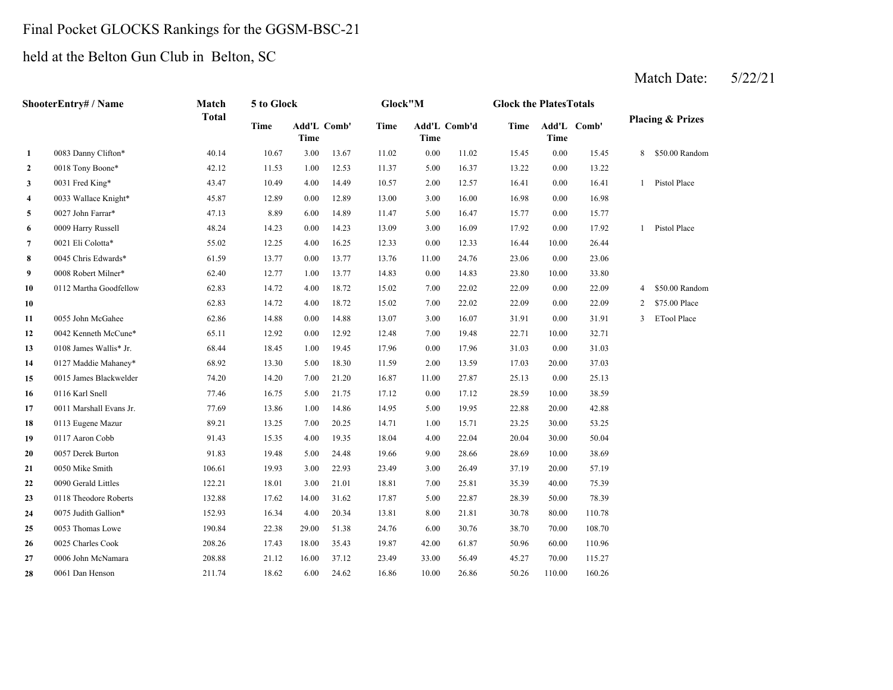#### Final Pocket GLOCKS Rankings for the GGSM-BSC-21

held at the Belton Gun Club in Belton, SC

**28**

**22** 0018 Tony Boone\* **6.22 11.53** 1.00 12.53 11.37 1.37 1.6.37 13.22 **3**0031 Fred King\* **2.00** 12.57 **10.41 2.00 2.641 2.00 2.641 2.00 2.641 2.00 2.641 4** 3.00 16.98 0033 Wallace Knight\* 45.87 12.89 0.00 12.89 13.00 16.00 **5** 5.00 15.77 0027 John Farrar\* 47.13 8.89 6.00 14.89 11.47 16.47 0.00 **6** 3.00 17.92 0009 Harry Russell 48.24 14.23 0.00 14.23 13.09 16.09 0.00 17.92 **7** 0.00 16.44 0021 Eli Colotta\* 55.02 12.25 4.00 16.25 12.33 12.33 10.00 **8** 11.00 23.06 0045 Chris Edwards\* 61.59 13.77 0.00 13.77 13.76 24.76 0.00 23.06 **9** 0.00 23.80 0008 Robert Milner\* 62.40 12.77 1.00 13.77 14.83 **10** 7.00 22.09 0112 Martha Goodfellow 62.83 14.72 4.00 18.72 15.02 22.02 **100** 22.02 22.09 62.83 14.72 4.00 18.72 15.02 7.00 22.02 22.09 **11** 3.00 31.91 0055 John McGahee 62.86 14.88 0.00 14.88 13.07 **12**2 0042 Kenneth McCune\* 65.11 12.92 0.00 12.92 12.48 7.00 19.48 22.71 **13** 0.00 31.03 0108 James Wallis\* Jr. 68.44 18.45 1.00 19.45 17.96 **14** 2.00 17.03 0127 Maddie Mahaney\* 68.92 13.30 5.00 18.30 11.59 13.59 **15** 11.00 25.13 0015 James Blackwelder 74.20 14.20 7.00 21.20 16.87 27.87 0.00 **16** 0.00 28.59 **17** 5.00 22.88 0011 Marshall Evans Jr. 77.69 13.86 1.00 14.86 14.95 **18** 1.00 23.25 0113 Eugene Mazur 89.21 13.25 7.00 20.25 14.71 15.71 **19** 4.00 20.04 0117 Aaron Cobb 91.43 15.35 4.00 19.35 18.04 22.04 30.00 **20** 9.00 28.69 0057 Derek Burton 91.83 19.48 5.00 24.48 19.66 28.66 10.00 38.69 **21**1 0050 Mike Smith 106.61 106.61 19.93 3.00 22.93 23.49 3.00 26.49 37.19 **22**2 0090 Gerald Littles 122.21 18.01 3.00 21.01 18.81 7.00 25.81 35.39 **23** 5.00 28.39 0118 Theodore Roberts 132.88 17.62 14.00 31.62 17.87 22.87 50.00 **24** 8.00 30.78 0075 Judith Gallion\* 152.93 16.34 4.00 20.34 13.81 21.81 80.00 110.78 **25** 6.00 38.70 0053 Thomas Lowe 190.84 22.38 29.00 51.38 24.76 **26** 42.00 50.96 0025 Charles Cook 208.26 17.43 18.00 35.43 19.87 61.87 **27** 33.00 45.27 0006 John McNamara 208.88 21.12 16.00 37.12 23.49 56.49 70.00 115.2760.00 110.96 30.76 70.00 108.70 78.3940.00 75.39 26.49 20.00 57.19 50.0430.00 53.25 19.95 22.88 20.00 42.88 25.130116 Karl Snell 77.46 16.75 5.00 21.75 17.12 17.12 10.00 38.59 20.00 37.03 17.96 31.03 0.00 31.03 12.48 19.48 10.00 32.71 16.07 31.91 0.00 31.91 3 ETool Place 0.00 22.09 2 \$75.00 Place 0.00 22.09 4 \$50.00 Random 62.83 14.72 4.00 18.72 15.02 22.02 14.83 23.80 10.00 33.80 26.441 Pistol Place 15.77 0.00 16.98 16.41 1 Pistol Place 0.00 13.22 0031 Fred King\* 43.47 10.49 4.00 14.49 10.57 12.57 0.00 15.45 8 \$50.00 Random 13.67 11.02 0.00 11.02 15.45 0.00 **Add'L TimeComb'd Time Add'L Comb' Placing & Prizes Time Add'L Time1**0083 Danny Clifton\* 40.14 10.67 3.00 **ShooterEntry# / Name Match Total 5 to Glock Glock"M Glock the PlatesTotalsTimeComb' Time**

10.00 50.26 0061 Dan Henson 211.74 18.62 6.00 24.62 16.86 26.86 110.00 160.26

#### Match Date: 5/22/21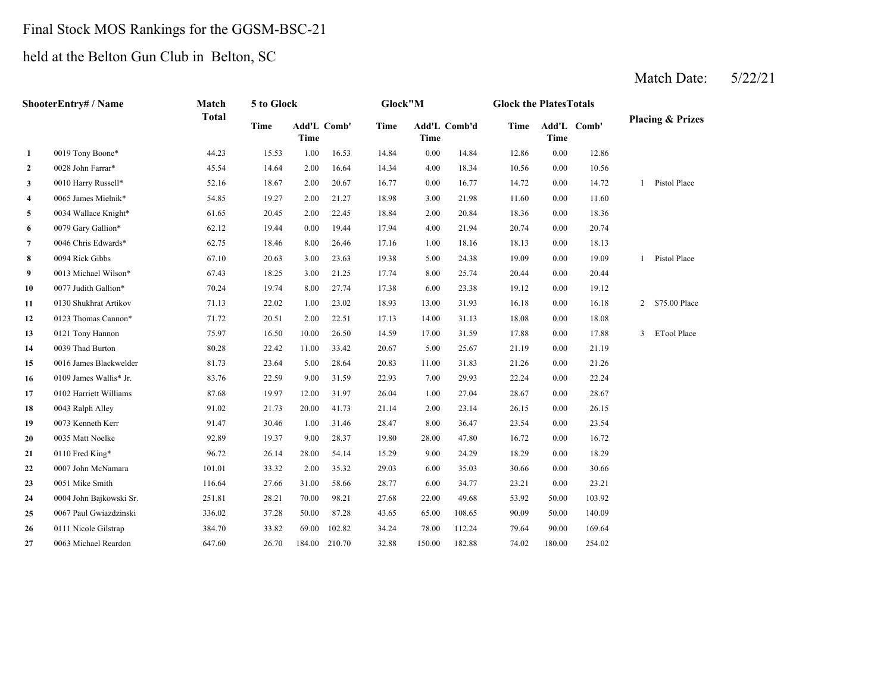#### Final Stock MOS Rankings for the GGSM-BSC-21

held at the Belton Gun Club in Belton, SC

#### Match Date: 5/22/21

**2** 4.00 10.56 0028 John Farrar\* 45.54 14.64 2.00 16.64 **33** 0010 Harry Russell\* **62.16** 18.67 2.00 20.67 16.77 0.00 16.77 14.72 **4** 3.00 11.60 0065 James Mielnik\* 54.85 19.27 2.00 21.27 **5** 2.00 18.36 0034 Wallace Knight\* 61.65 20.45 2.00 22.45 18.84 **6** 4.00 20.74 0079 Gary Gallion\* 62.12 19.44 0.00 19.44 17.94 21.94 **7** 1.00 18.13 0046 Chris Edwards\* 62.75 18.46 8.00 26.46 17.16 18.16 0.00 **8**0094 Rick Gibbs 67.10 20.63 3.00 23.63 19.38 5.00 24.38 19.09 **9** 8.00 20.44 0013 Michael Wilson\* 67.43 18.25 3.00 21.25 17.74 25.74 0.00 **10** 6.00 19.12 0077 Judith Gallion\* 70.24 19.74 8.00 27.74 17.38 23.38 0.00 19.12 **11** 13.00 16.18 0130 Shukhrat Artikov 71.13 22.02 1.00 23.02 18.93 **12**2 0123 Thomas Cannon\* 71.72 20.51 2.00 22.51 17.13 14.00 31.13 18.08 **13** 17.00 17.88 0121 Tony Hannon 75.97 16.50 10.00 26.50 14.59 **14**4 0039 Thad Burton 80.28 22.42 11.00 33.42 20.67 5.00 25.67 21.19 **15** 11.00 21.26 0016 James Blackwelder 81.73 23.64 5.00 28.64 20.83 **16** 7.00 22.24 0109 James Wallis\* Jr. 83.76 22.59 9.00 31.59 22.93 29.93 **17** 1.00 28.67 0102 Harriett Williams 87.68 19.97 12.00 31.97 26.04 27.04 0.00 **18**0043 Ralph Alley 91.02 21.73 20.00 41.73 21.14 2.00 23.14 26.15 **19** 8.00 23.54 0073 Kenneth Kerr 91.47 30.46 1.00 31.46 28.47 **20** 28.00 16.72 0035 Matt Noelke 92.89 19.37 9.00 28.37 19.80 47.80 **21**0110 Fred King\* 26.72 26.14 28.00 24.14 15.29 9.00 24.29 18.29 **22**2 0007 John McNamara 101.01 33.32 2.00 35.32 29.03 6.00 35.03 30.66 0.00 30.66 **233** 0051 Mike Smith 116.64 27.66 31.00 58.66 28.77 6.00 34.77 23.21 **24** 22.00 53.92 0004 John Bajkowski Sr. 251.81 28.21 70.00 98.21 27.68 49.68 **25** 65.00 90.09 0067 Paul Gwiazdzinski 336.02 37.28 50.00 87.28 43.65 108.65 50.00 **26** 78.00 79.64 0111 Nicole Gilstrap 384.70 33.82 69.00 102.82 34.24 112.24 90.00 169.64 **27**0063 Michael Reardon 647.60 26.70 184.00 210.70 32.88 150.00 182.88 74.02 180.00 254.02 140.09 50.00 103.92 34.77 0.00 23.21 18.29 0.00 16.72 0110 Fred King\* 96.72 26.14 28.00 54.14 15.29 24.29 0.00 36.47 0.00 23.54 28.67 0043 Ralph Alley 91.02 21.73 20.00 41.73 21.14 23.14 0.00 26.15 0.00 22.24 31.83 0.00 21.26 20.67 25.67 0.00 21.19 31.59 0.00 17.88 3 ETool Place 17.13 31.13 0.00 18.08 31.93 0.00 16.18 2 \$75.00 Place 20.44 1 Pistol Place 18.130094 Rick Gibbs 67.10 20.63 3.00 23.63 19.38 24.38 0.00 19.09 0.00 20.74 20.84 0.00 18.36 18.98 21.98 0.00 11.60 16.77 14.72 0.00 14.72 1 Pistol Place 14.34 18.34 0.00 10.56 0.00 14.84 12.86 0.00 12.86 **Time Add'L Comb' Time1**0019 Tony Boone\* 44.23 15.53 1.00 16.53 14.84 **Time Add'L TimeComb' Time Add'L Comb'd TimeShooterEntry# / Name Match Total 5 to Glock Glock"M Glock the PlatesTotalsPlacing & Prizes**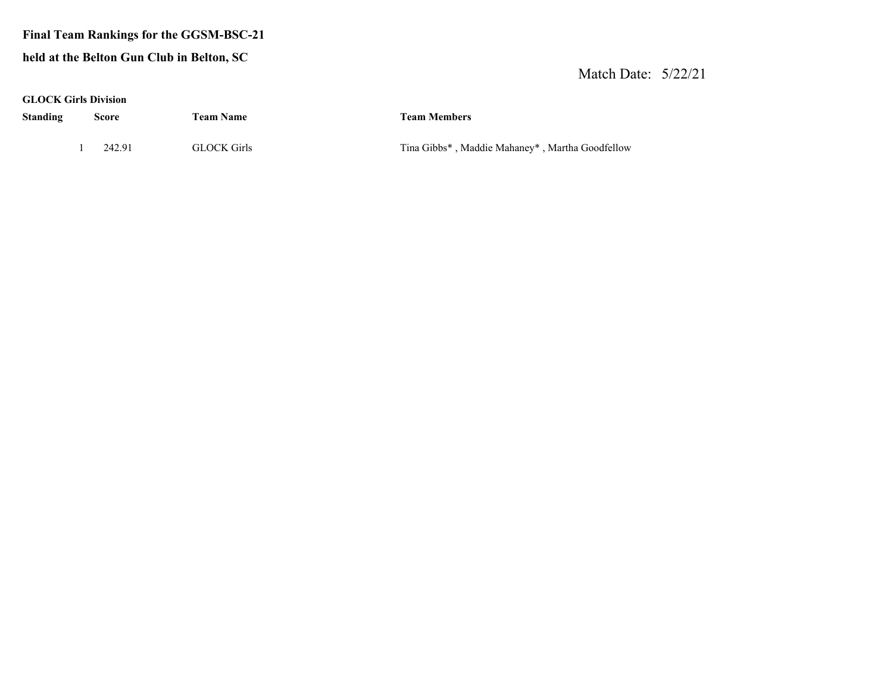#### **Final Team Rankings for the GGSM-BSC-21**

#### **held at the Belton Gun Club in Belton, SC**

#### Match Date: 5/22/21

| GLOCK Girls Division |  |  |
|----------------------|--|--|
|----------------------|--|--|

**Standing Score Team Name Team Members**

1 242.91 GLOCK Girls Tina Gibbs\* , Maddie Mahaney\* , Martha Goodfellow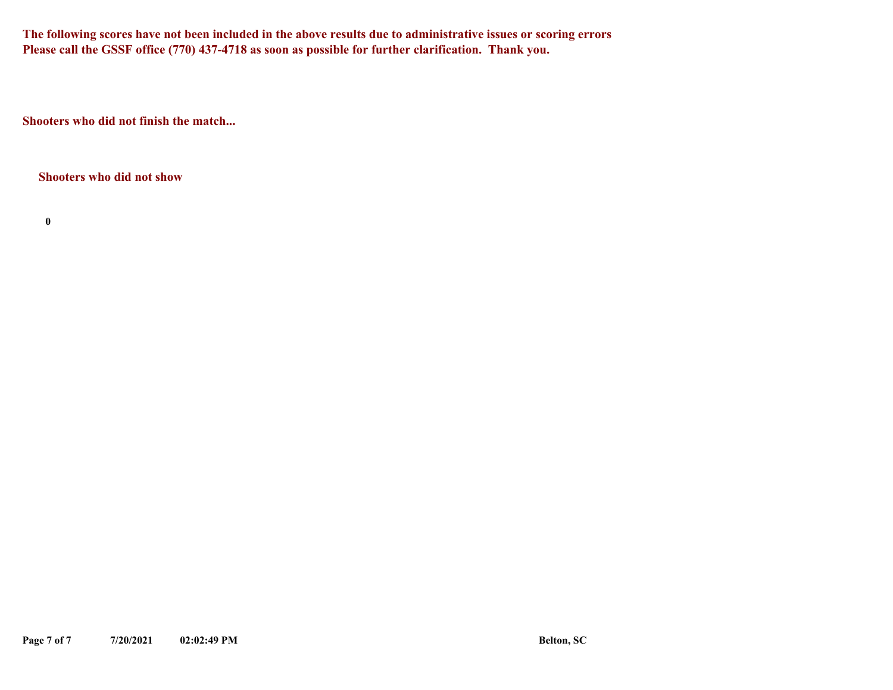**The following scores have not been included in the above results due to administrative issues or scoring errors Please call the GSSF office (770) 437-4718 as soon as possible for further clarification. Thank you.**

**Shooters who did not finish the match...**

**Shooters who did not show**

**0**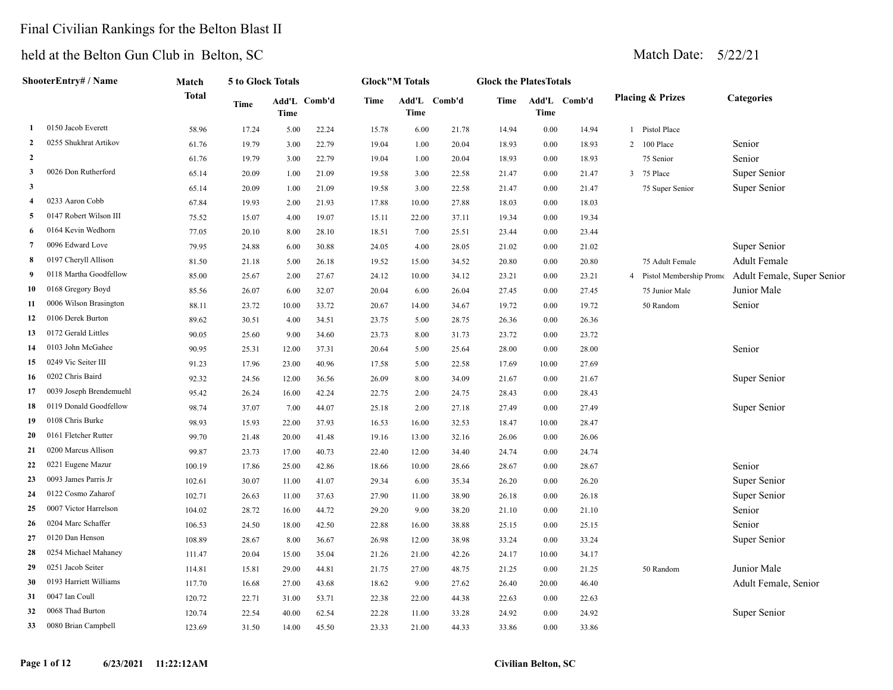## Final Civilian Rankings for the Belton Blast II

|                | ShooterEntry# / Name    | Match        | <b>5 to Glock Totals</b> |       |              |       | <b>Glock</b> "M Totals |              | <b>Glock the PlatesTotals</b> |          |              |                |                             |                            |
|----------------|-------------------------|--------------|--------------------------|-------|--------------|-------|------------------------|--------------|-------------------------------|----------|--------------|----------------|-----------------------------|----------------------------|
|                |                         | <b>Total</b> | Time                     | Time  | Add'L Comb'd | Time  | <b>Time</b>            | Add'L Comb'd | Time                          | Time     | Add'L Comb'd |                | <b>Placing &amp; Prizes</b> | <b>Categories</b>          |
| -1             | 0150 Jacob Everett      | 58.96        | 17.24                    | 5.00  | 22.24        | 15.78 | 6.00                   | 21.78        | 14.94                         | 0.00     | 14.94        |                | 1 Pistol Place              |                            |
| $\overline{2}$ | 0255 Shukhrat Artikov   | 61.76        | 19.79                    | 3.00  | 22.79        | 19.04 | 1.00                   | 20.04        | 18.93                         | $0.00\,$ | 18.93        |                | 2 100 Place                 | Senior                     |
| $\overline{2}$ |                         | 61.76        | 19.79                    | 3.00  | 22.79        | 19.04 | 1.00                   | 20.04        | 18.93                         | 0.00     | 18.93        |                | 75 Senior                   | Senior                     |
| 3              | 0026 Don Rutherford     | 65.14        | 20.09                    | 1.00  | 21.09        | 19.58 | 3.00                   | 22.58        | 21.47                         | 0.00     | 21.47        |                | 3 75 Place                  | Super Senior               |
| $\mathbf{3}$   |                         | 65.14        | 20.09                    | 1.00  | 21.09        | 19.58 | 3.00                   | 22.58        | 21.47                         | 0.00     | 21.47        |                | 75 Super Senior             | Super Senior               |
| $\overline{4}$ | 0233 Aaron Cobb         | 67.84        | 19.93                    | 2.00  | 21.93        | 17.88 | 10.00                  | 27.88        | 18.03                         | 0.00     | 18.03        |                |                             |                            |
| 5              | 0147 Robert Wilson III  | 75.52        | 15.07                    | 4.00  | 19.07        | 15.11 | 22.00                  | 37.11        | 19.34                         | 0.00     | 19.34        |                |                             |                            |
| 6              | 0164 Kevin Wedhorn      | 77.05        | 20.10                    | 8.00  | 28.10        | 18.51 | 7.00                   | 25.51        | 23.44                         | 0.00     | 23.44        |                |                             |                            |
| $\overline{7}$ | 0096 Edward Love        | 79.95        | 24.88                    | 6.00  | 30.88        | 24.05 | 4.00                   | 28.05        | 21.02                         | $0.00\,$ | 21.02        |                |                             | Super Senior               |
| 8              | 0197 Cheryll Allison    | 81.50        | 21.18                    | 5.00  | 26.18        | 19.52 | 15.00                  | 34.52        | 20.80                         | $0.00\,$ | 20.80        |                | 75 Adult Female             | Adult Female               |
| 9              | 0118 Martha Goodfellow  | 85.00        | 25.67                    | 2.00  | 27.67        | 24.12 | 10.00                  | 34.12        | 23.21                         | $0.00\,$ | 23.21        | $\overline{4}$ | Pistol Membership Promo     | Adult Female, Super Senior |
| 10             | 0168 Gregory Boyd       | 85.56        | 26.07                    | 6.00  | 32.07        | 20.04 | 6.00                   | 26.04        | 27.45                         | $0.00\,$ | 27.45        |                | 75 Junior Male              | Junior Male                |
| 11             | 0006 Wilson Brasington  | 88.11        | 23.72                    | 10.00 | 33.72        | 20.67 | 14.00                  | 34.67        | 19.72                         | 0.00     | 19.72        |                | 50 Random                   | Senior                     |
| 12             | 0106 Derek Burton       | 89.62        | 30.51                    | 4.00  | 34.51        | 23.75 | 5.00                   | 28.75        | 26.36                         | 0.00     | 26.36        |                |                             |                            |
| 13             | 0172 Gerald Littles     | 90.05        | 25.60                    | 9.00  | 34.60        | 23.73 | 8.00                   | 31.73        | 23.72                         | 0.00     | 23.72        |                |                             |                            |
| 14             | 0103 John McGahee       | 90.95        | 25.31                    | 12.00 | 37.31        | 20.64 | 5.00                   | 25.64        | 28.00                         | 0.00     | 28.00        |                |                             | Senior                     |
| 15             | 0249 Vic Seiter III     | 91.23        | 17.96                    | 23.00 | 40.96        | 17.58 | 5.00                   | 22.58        | 17.69                         | 10.00    | 27.69        |                |                             |                            |
| 16             | 0202 Chris Baird        | 92.32        | 24.56                    | 12.00 | 36.56        | 26.09 | 8.00                   | 34.09        | 21.67                         | 0.00     | 21.67        |                |                             | Super Senior               |
| 17             | 0039 Joseph Brendemuehl | 95.42        | 26.24                    | 16.00 | 42.24        | 22.75 | 2.00                   | 24.75        | 28.43                         | 0.00     | 28.43        |                |                             |                            |
| 18             | 0119 Donald Goodfellow  | 98.74        | 37.07                    | 7.00  | 44.07        | 25.18 | 2.00                   | 27.18        | 27.49                         | 0.00     | 27.49        |                |                             | Super Senior               |
| 19             | 0108 Chris Burke        | 98.93        | 15.93                    | 22.00 | 37.93        | 16.53 | 16.00                  | 32.53        | 18.47                         | 10.00    | 28.47        |                |                             |                            |
| 20             | 0161 Fletcher Rutter    | 99.70        | 21.48                    | 20.00 | 41.48        | 19.16 | 13.00                  | 32.16        | 26.06                         | 0.00     | 26.06        |                |                             |                            |
| 21             | 0200 Marcus Allison     | 99.87        | 23.73                    | 17.00 | 40.73        | 22.40 | 12.00                  | 34.40        | 24.74                         | 0.00     | 24.74        |                |                             |                            |
| 22             | 0221 Eugene Mazur       | 100.19       | 17.86                    | 25.00 | 42.86        | 18.66 | 10.00                  | 28.66        | 28.67                         | 0.00     | 28.67        |                |                             | Senior                     |
| 23             | 0093 James Parris Jr    | 102.61       | 30.07                    | 11.00 | 41.07        | 29.34 | 6.00                   | 35.34        | 26.20                         | 0.00     | 26.20        |                |                             | Super Senior               |
| 24             | 0122 Cosmo Zaharof      | 102.71       | 26.63                    | 11.00 | 37.63        | 27.90 | 11.00                  | 38.90        | 26.18                         | 0.00     | 26.18        |                |                             | Super Senior               |
| 25             | 0007 Victor Harrelson   | 104.02       | 28.72                    | 16.00 | 44.72        | 29.20 | 9.00                   | 38.20        | 21.10                         | 0.00     | 21.10        |                |                             | Senior                     |
| 26             | 0204 Marc Schaffer      | 106.53       | 24.50                    | 18.00 | 42.50        | 22.88 | 16.00                  | 38.88        | 25.15                         | 0.00     | 25.15        |                |                             | Senior                     |
| 27             | 0120 Dan Henson         | 108.89       | 28.67                    | 8.00  | 36.67        | 26.98 | 12.00                  | 38.98        | 33.24                         | 0.00     | 33.24        |                |                             | Super Senior               |
| 28             | 0254 Michael Mahaney    | 111.47       | 20.04                    | 15.00 | 35.04        | 21.26 | 21.00                  | 42.26        | 24.17                         | 10.00    | 34.17        |                |                             |                            |
| 29             | 0251 Jacob Seiter       | 114.81       | 15.81                    | 29.00 | 44.81        | 21.75 | 27.00                  | 48.75        | 21.25                         | 0.00     | 21.25        |                | 50 Random                   | Junior Male                |
| 30             | 0193 Harriett Williams  | 117.70       | 16.68                    | 27.00 | 43.68        | 18.62 | 9.00                   | 27.62        | 26.40                         | 20.00    | 46.40        |                |                             | Adult Female, Senior       |
| 31             | 0047 Ian Coull          | 120.72       | 22.71                    | 31.00 | 53.71        | 22.38 | 22.00                  | 44.38        | 22.63                         | 0.00     | 22.63        |                |                             |                            |
| 32             | 0068 Thad Burton        | 120.74       | 22.54                    | 40.00 | 62.54        | 22.28 | 11.00                  | 33.28        | 24.92                         | $0.00\,$ | 24.92        |                |                             | Super Senior               |
| 33             | 0080 Brian Campbell     | 123.69       | 31.50                    | 14.00 | 45.50        | 23.33 | 21.00                  | 44.33        | 33.86                         | 0.00     | 33.86        |                |                             |                            |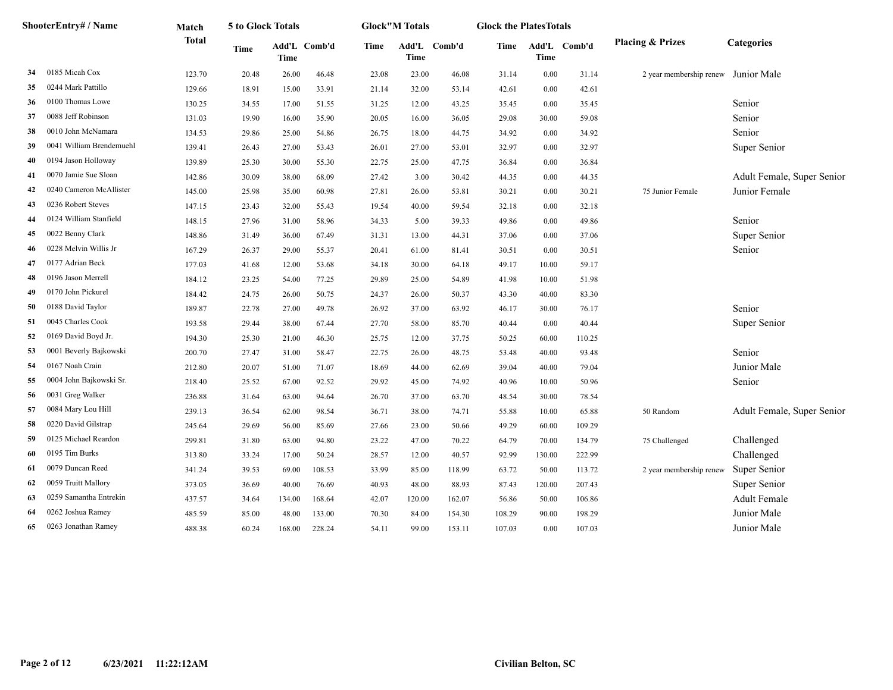|    | ShooterEntry# / Name     | Match        | 5 to Glock Totals |        |              |       | <b>Glock"M Totals</b> |              | <b>Glock the PlatesTotals</b> |        |              |                                     |                            |
|----|--------------------------|--------------|-------------------|--------|--------------|-------|-----------------------|--------------|-------------------------------|--------|--------------|-------------------------------------|----------------------------|
|    |                          | <b>Total</b> | <b>Time</b>       | Time   | Add'L Comb'd | Time  | Time                  | Add'L Comb'd | Time                          | Time   | Add'L Comb'd | <b>Placing &amp; Prizes</b>         | <b>Categories</b>          |
| 34 | 0185 Micah Cox           | 123.70       | 20.48             | 26.00  | 46.48        | 23.08 | 23.00                 | 46.08        | 31.14                         | 0.00   | 31.14        | 2 year membership renew Junior Male |                            |
| 35 | 0244 Mark Pattillo       | 129.66       | 18.91             | 15.00  | 33.91        | 21.14 | 32.00                 | 53.14        | 42.61                         | 0.00   | 42.61        |                                     |                            |
| 36 | 0100 Thomas Lowe         | 130.25       | 34.55             | 17.00  | 51.55        | 31.25 | 12.00                 | 43.25        | 35.45                         | 0.00   | 35.45        |                                     | Senior                     |
| 37 | 0088 Jeff Robinson       | 131.03       | 19.90             | 16.00  | 35.90        | 20.05 | 16.00                 | 36.05        | 29.08                         | 30.00  | 59.08        |                                     | Senior                     |
| 38 | 0010 John McNamara       | 134.53       | 29.86             | 25.00  | 54.86        | 26.75 | 18.00                 | 44.75        | 34.92                         | 0.00   | 34.92        |                                     | Senior                     |
| 39 | 0041 William Brendemuehl | 139.41       | 26.43             | 27.00  | 53.43        | 26.01 | 27.00                 | 53.01        | 32.97                         | 0.00   | 32.97        |                                     | Super Senior               |
| 40 | 0194 Jason Holloway      | 139.89       | 25.30             | 30.00  | 55.30        | 22.75 | 25.00                 | 47.75        | 36.84                         | 0.00   | 36.84        |                                     |                            |
| 41 | 0070 Jamie Sue Sloan     | 142.86       | 30.09             | 38.00  | 68.09        | 27.42 | 3.00                  | 30.42        | 44.35                         | 0.00   | 44.35        |                                     | Adult Female, Super Senior |
| 42 | 0240 Cameron McAllister  | 145.00       | 25.98             | 35.00  | 60.98        | 27.81 | 26.00                 | 53.81        | 30.21                         | 0.00   | 30.21        | 75 Junior Female                    | Junior Female              |
| 43 | 0236 Robert Steves       | 147.15       | 23.43             | 32.00  | 55.43        | 19.54 | 40.00                 | 59.54        | 32.18                         | 0.00   | 32.18        |                                     |                            |
| 44 | 0124 William Stanfield   | 148.15       | 27.96             | 31.00  | 58.96        | 34.33 | 5.00                  | 39.33        | 49.86                         | 0.00   | 49.86        |                                     | Senior                     |
| 45 | 0022 Benny Clark         | 148.86       | 31.49             | 36.00  | 67.49        | 31.31 | 13.00                 | 44.31        | 37.06                         | 0.00   | 37.06        |                                     | Super Senior               |
| 46 | 0228 Melvin Willis Jr    | 167.29       | 26.37             | 29.00  | 55.37        | 20.41 | 61.00                 | 81.41        | 30.51                         | 0.00   | 30.51        |                                     | Senior                     |
| 47 | 0177 Adrian Beck         | 177.03       | 41.68             | 12.00  | 53.68        | 34.18 | 30.00                 | 64.18        | 49.17                         | 10.00  | 59.17        |                                     |                            |
| 48 | 0196 Jason Merrell       | 184.12       | 23.25             | 54.00  | 77.25        | 29.89 | 25.00                 | 54.89        | 41.98                         | 10.00  | 51.98        |                                     |                            |
| 49 | 0170 John Pickurel       | 184.42       | 24.75             | 26.00  | 50.75        | 24.37 | 26.00                 | 50.37        | 43.30                         | 40.00  | 83.30        |                                     |                            |
| 50 | 0188 David Taylor        | 189.87       | 22.78             | 27.00  | 49.78        | 26.92 | 37.00                 | 63.92        | 46.17                         | 30.00  | 76.17        |                                     | Senior                     |
| 51 | 0045 Charles Cook        | 193.58       | 29.44             | 38.00  | 67.44        | 27.70 | 58.00                 | 85.70        | 40.44                         | 0.00   | 40.44        |                                     | Super Senior               |
| 52 | 0169 David Boyd Jr.      | 194.30       | 25.30             | 21.00  | 46.30        | 25.75 | 12.00                 | 37.75        | 50.25                         | 60.00  | 110.25       |                                     |                            |
| 53 | 0001 Beverly Bajkowski   | 200.70       | 27.47             | 31.00  | 58.47        | 22.75 | 26.00                 | 48.75        | 53.48                         | 40.00  | 93.48        |                                     | Senior                     |
| 54 | 0167 Noah Crain          | 212.80       | 20.07             | 51.00  | 71.07        | 18.69 | 44.00                 | 62.69        | 39.04                         | 40.00  | 79.04        |                                     | Junior Male                |
| 55 | 0004 John Bajkowski Sr.  | 218.40       | 25.52             | 67.00  | 92.52        | 29.92 | 45.00                 | 74.92        | 40.96                         | 10.00  | 50.96        |                                     | Senior                     |
| 56 | 0031 Greg Walker         | 236.88       | 31.64             | 63.00  | 94.64        | 26.70 | 37.00                 | 63.70        | 48.54                         | 30.00  | 78.54        |                                     |                            |
| 57 | 0084 Mary Lou Hill       | 239.13       | 36.54             | 62.00  | 98.54        | 36.71 | 38.00                 | 74.71        | 55.88                         | 10.00  | 65.88        | 50 Random                           | Adult Female, Super Senior |
| 58 | 0220 David Gilstrap      | 245.64       | 29.69             | 56.00  | 85.69        | 27.66 | 23.00                 | 50.66        | 49.29                         | 60.00  | 109.29       |                                     |                            |
| 59 | 0125 Michael Reardon     | 299.81       | 31.80             | 63.00  | 94.80        | 23.22 | 47.00                 | 70.22        | 64.79                         | 70.00  | 134.79       | 75 Challenged                       | Challenged                 |
| 60 | 0195 Tim Burks           | 313.80       | 33.24             | 17.00  | 50.24        | 28.57 | 12.00                 | 40.57        | 92.99                         | 130.00 | 222.99       |                                     | Challenged                 |
| 61 | 0079 Duncan Reed         | 341.24       | 39.53             | 69.00  | 108.53       | 33.99 | 85.00                 | 118.99       | 63.72                         | 50.00  | 113.72       | 2 year membership renew             | Super Senior               |
| 62 | 0059 Truitt Mallory      | 373.05       | 36.69             | 40.00  | 76.69        | 40.93 | 48.00                 | 88.93        | 87.43                         | 120.00 | 207.43       |                                     | Super Senior               |
| 63 | 0259 Samantha Entrekin   | 437.57       | 34.64             | 134.00 | 168.64       | 42.07 | 120.00                | 162.07       | 56.86                         | 50.00  | 106.86       |                                     | Adult Female               |
| 64 | 0262 Joshua Ramey        | 485.59       | 85.00             | 48.00  | 133.00       | 70.30 | 84.00                 | 154.30       | 108.29                        | 90.00  | 198.29       |                                     | Junior Male                |
| 65 | 0263 Jonathan Ramey      | 488.38       | 60.24             | 168.00 | 228.24       | 54.11 | 99.00                 | 153.11       | 107.03                        | 0.00   | 107.03       |                                     | Junior Male                |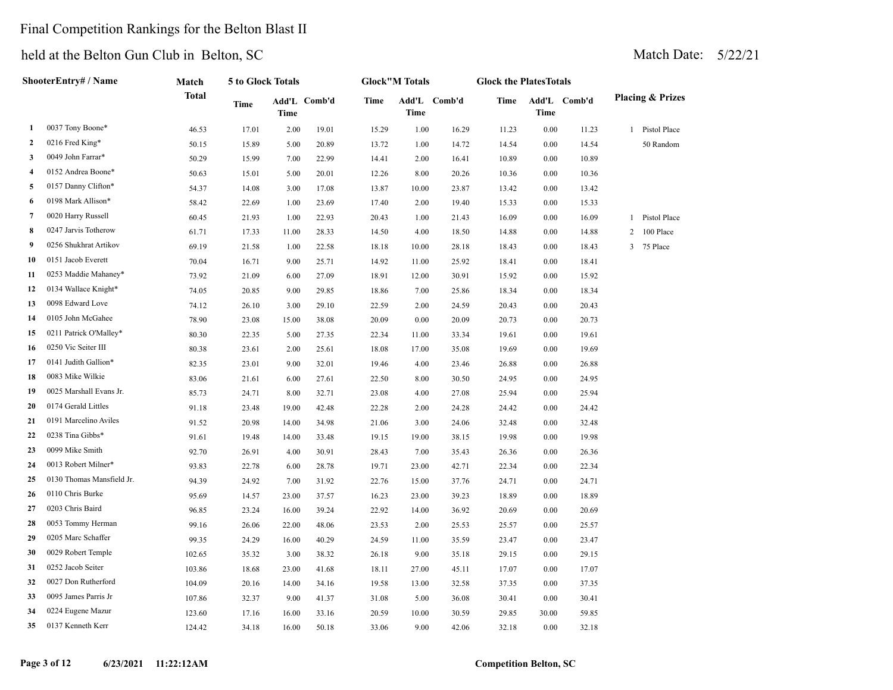## Final Competition Rankings for the Belton Blast II

|    | ShooterEntry# / Name      | Match        | 5 to Glock Totals |       |              |             | <b>Glock"M Totals</b> |              | <b>Glock the PlatesTotals</b> |          |              |              |                             |
|----|---------------------------|--------------|-------------------|-------|--------------|-------------|-----------------------|--------------|-------------------------------|----------|--------------|--------------|-----------------------------|
|    |                           | <b>Total</b> | Time              | Time  | Add'L Comb'd | <b>Time</b> | Time                  | Add'L Comb'd | Time                          | Time     | Add'L Comb'd |              | <b>Placing &amp; Prizes</b> |
| 1  | 0037 Tony Boone*          | 46.53        | 17.01             | 2.00  | 19.01        | 15.29       | 1.00                  | 16.29        | 11.23                         | $0.00\,$ | 11.23        |              | 1 Pistol Place              |
| 2  | 0216 Fred King*           | 50.15        | 15.89             | 5.00  | 20.89        | 13.72       | 1.00                  | 14.72        | 14.54                         | $0.00\,$ | 14.54        |              | 50 Random                   |
| 3  | 0049 John Farrar*         | 50.29        | 15.99             | 7.00  | 22.99        | 14.41       | 2.00                  | 16.41        | 10.89                         | 0.00     | 10.89        |              |                             |
| 4  | 0152 Andrea Boone*        | 50.63        | 15.01             | 5.00  | 20.01        | 12.26       | 8.00                  | 20.26        | 10.36                         | 0.00     | 10.36        |              |                             |
| 5  | 0157 Danny Clifton*       | 54.37        | 14.08             | 3.00  | 17.08        | 13.87       | 10.00                 | 23.87        | 13.42                         | 0.00     | 13.42        |              |                             |
| 6  | 0198 Mark Allison*        | 58.42        | 22.69             | 1.00  | 23.69        | 17.40       | 2.00                  | 19.40        | 15.33                         | 0.00     | 15.33        |              |                             |
| 7  | 0020 Harry Russell        | 60.45        | 21.93             | 1.00  | 22.93        | 20.43       | 1.00                  | 21.43        | 16.09                         | 0.00     | 16.09        |              | 1 Pistol Place              |
| 8  | 0247 Jarvis Totherow      | 61.71        | 17.33             | 11.00 | 28.33        | 14.50       | 4.00                  | 18.50        | 14.88                         | 0.00     | 14.88        | 2            | 100 Place                   |
| 9  | 0256 Shukhrat Artikov     | 69.19        | 21.58             | 1.00  | 22.58        | 18.18       | 10.00                 | 28.18        | 18.43                         | 0.00     | 18.43        | $\mathbf{3}$ | 75 Place                    |
| 10 | 0151 Jacob Everett        | 70.04        | 16.71             | 9.00  | 25.71        | 14.92       | 11.00                 | 25.92        | 18.41                         | 0.00     | 18.41        |              |                             |
| 11 | 0253 Maddie Mahaney*      | 73.92        | 21.09             | 6.00  | 27.09        | 18.91       | 12.00                 | 30.91        | 15.92                         | 0.00     | 15.92        |              |                             |
| 12 | 0134 Wallace Knight*      | 74.05        | 20.85             | 9.00  | 29.85        | 18.86       | 7.00                  | 25.86        | 18.34                         | 0.00     | 18.34        |              |                             |
| 13 | 0098 Edward Love          | 74.12        | 26.10             | 3.00  | 29.10        | 22.59       | 2.00                  | 24.59        | 20.43                         | 0.00     | 20.43        |              |                             |
| 14 | 0105 John McGahee         | 78.90        | 23.08             | 15.00 | 38.08        | 20.09       | 0.00                  | 20.09        | 20.73                         | 0.00     | 20.73        |              |                             |
| 15 | 0211 Patrick O'Malley*    | 80.30        | 22.35             | 5.00  | 27.35        | 22.34       | 11.00                 | 33.34        | 19.61                         | 0.00     | 19.61        |              |                             |
| 16 | 0250 Vic Seiter III       | 80.38        | 23.61             | 2.00  | 25.61        | 18.08       | 17.00                 | 35.08        | 19.69                         | 0.00     | 19.69        |              |                             |
| 17 | 0141 Judith Gallion*      | 82.35        | 23.01             | 9.00  | 32.01        | 19.46       | 4.00                  | 23.46        | 26.88                         | 0.00     | 26.88        |              |                             |
| 18 | 0083 Mike Wilkie          | 83.06        | 21.61             | 6.00  | 27.61        | 22.50       | 8.00                  | 30.50        | 24.95                         | 0.00     | 24.95        |              |                             |
| 19 | 0025 Marshall Evans Jr.   | 85.73        | 24.71             | 8.00  | 32.71        | 23.08       | 4.00                  | 27.08        | 25.94                         | 0.00     | 25.94        |              |                             |
| 20 | 0174 Gerald Littles       | 91.18        | 23.48             | 19.00 | 42.48        | 22.28       | 2.00                  | 24.28        | 24.42                         | 0.00     | 24.42        |              |                             |
| 21 | 0191 Marcelino Aviles     | 91.52        | 20.98             | 14.00 | 34.98        | 21.06       | 3.00                  | 24.06        | 32.48                         | 0.00     | 32.48        |              |                             |
| 22 | 0238 Tina Gibbs*          | 91.61        | 19.48             | 14.00 | 33.48        | 19.15       | 19.00                 | 38.15        | 19.98                         | 0.00     | 19.98        |              |                             |
| 23 | 0099 Mike Smith           | 92.70        | 26.91             | 4.00  | 30.91        | 28.43       | 7.00                  | 35.43        | 26.36                         | 0.00     | 26.36        |              |                             |
| 24 | 0013 Robert Milner*       | 93.83        | 22.78             | 6.00  | 28.78        | 19.71       | 23.00                 | 42.71        | 22.34                         | 0.00     | 22.34        |              |                             |
| 25 | 0130 Thomas Mansfield Jr. | 94.39        | 24.92             | 7.00  | 31.92        | 22.76       | 15.00                 | 37.76        | 24.71                         | 0.00     | 24.71        |              |                             |
| 26 | 0110 Chris Burke          | 95.69        | 14.57             | 23.00 | 37.57        | 16.23       | 23.00                 | 39.23        | 18.89                         | 0.00     | 18.89        |              |                             |
| 27 | 0203 Chris Baird          | 96.85        | 23.24             | 16.00 | 39.24        | 22.92       | 14.00                 | 36.92        | 20.69                         | 0.00     | 20.69        |              |                             |
| 28 | 0053 Tommy Herman         | 99.16        | 26.06             | 22.00 | 48.06        | 23.53       | 2.00                  | 25.53        | 25.57                         | 0.00     | 25.57        |              |                             |
| 29 | 0205 Marc Schaffer        | 99.35        | 24.29             | 16.00 | 40.29        | 24.59       | 11.00                 | 35.59        | 23.47                         | 0.00     | 23.47        |              |                             |
| 30 | 0029 Robert Temple        | 102.65       | 35.32             | 3.00  | 38.32        | 26.18       | 9.00                  | 35.18        | 29.15                         | 0.00     | 29.15        |              |                             |
| 31 | 0252 Jacob Seiter         | 103.86       | 18.68             | 23.00 | 41.68        | 18.11       | 27.00                 | 45.11        | 17.07                         | 0.00     | 17.07        |              |                             |
| 32 | 0027 Don Rutherford       | 104.09       | 20.16             | 14.00 | 34.16        | 19.58       | 13.00                 | 32.58        | 37.35                         | 0.00     | 37.35        |              |                             |
| 33 | 0095 James Parris Jr      | 107.86       | 32.37             | 9.00  | 41.37        | 31.08       | 5.00                  | 36.08        | 30.41                         | 0.00     | 30.41        |              |                             |
| 34 | 0224 Eugene Mazur         | 123.60       | 17.16             | 16.00 | 33.16        | 20.59       | 10.00                 | 30.59        | 29.85                         | 30.00    | 59.85        |              |                             |
| 35 | 0137 Kenneth Kerr         | 124.42       | 34.18             | 16.00 | 50.18        | 33.06       | 9.00                  | 42.06        | 32.18                         | 0.00     | 32.18        |              |                             |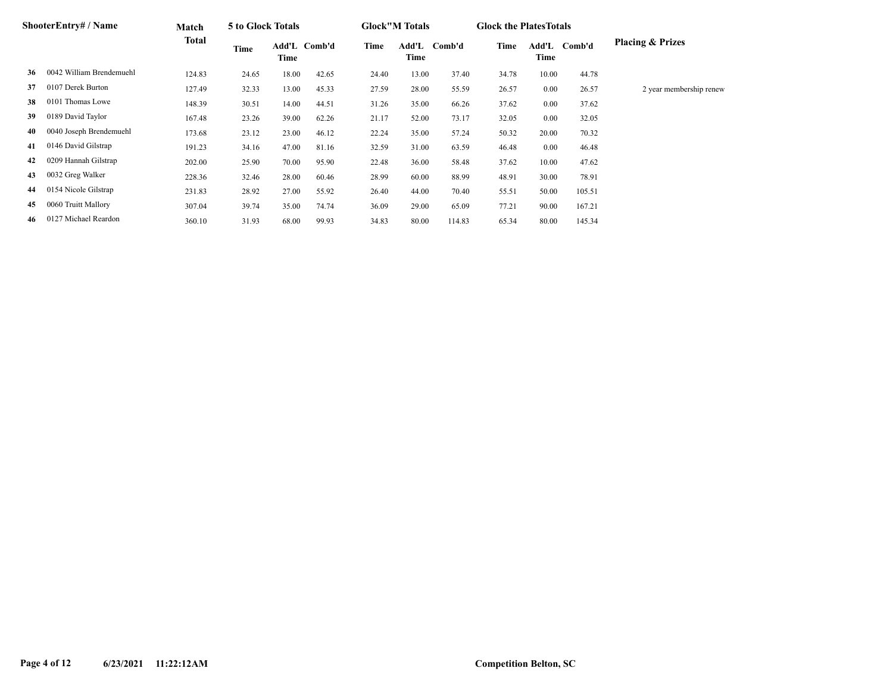|    | ShooterEntry# / Name     | Match  | 5 to Glock Totals |       |              |       | <b>Glock</b> "M Totals |              | <b>Glock the Plates Totals</b> |       |              |                             |
|----|--------------------------|--------|-------------------|-------|--------------|-------|------------------------|--------------|--------------------------------|-------|--------------|-----------------------------|
|    |                          | Total  | Time              | Time  | Add'L Comb'd | Time  | Time                   | Add'L Comb'd | Time                           | Time  | Add'L Comb'd | <b>Placing &amp; Prizes</b> |
| 36 | 0042 William Brendemuehl | 124.83 | 24.65             | 18.00 | 42.65        | 24.40 | 13.00                  | 37.40        | 34.78                          | 10.00 | 44.78        |                             |
| 37 | 0107 Derek Burton        | 127.49 | 32.33             | 13.00 | 45.33        | 27.59 | 28.00                  | 55.59        | 26.57                          | 0.00  | 26.57        | 2 year membership renew     |
| 38 | 0101 Thomas Lowe         | 148.39 | 30.51             | 14.00 | 44.51        | 31.26 | 35.00                  | 66.26        | 37.62                          | 0.00  | 37.62        |                             |
| 39 | 0189 David Taylor        | 167.48 | 23.26             | 39.00 | 62.26        | 21.17 | 52.00                  | 73.17        | 32.05                          | 0.00  | 32.05        |                             |
| 40 | 0040 Joseph Brendemuehl  | 173.68 | 23.12             | 23.00 | 46.12        | 22.24 | 35.00                  | 57.24        | 50.32                          | 20.00 | 70.32        |                             |
| 41 | 0146 David Gilstrap      | 191.23 | 34.16             | 47.00 | 81.16        | 32.59 | 31.00                  | 63.59        | 46.48                          | 0.00  | 46.48        |                             |
| 42 | 0209 Hannah Gilstrap     | 202.00 | 25.90             | 70.00 | 95.90        | 22.48 | 36.00                  | 58.48        | 37.62                          | 10.00 | 47.62        |                             |
| 43 | 0032 Greg Walker         | 228.36 | 32.46             | 28.00 | 60.46        | 28.99 | 60.00                  | 88.99        | 48.91                          | 30.00 | 78.91        |                             |
| 44 | 0154 Nicole Gilstrap     | 231.83 | 28.92             | 27.00 | 55.92        | 26.40 | 44.00                  | 70.40        | 55.51                          | 50.00 | 105.51       |                             |
| 45 | 0060 Truitt Mallory      | 307.04 | 39.74             | 35.00 | 74.74        | 36.09 | 29.00                  | 65.09        | 77.21                          | 90.00 | 167.21       |                             |
| 46 | 0127 Michael Reardon     | 360.10 | 31.93             | 68.00 | 99.93        | 34.83 | 80.00                  | 114.83       | 65.34                          | 80.00 | 145.34       |                             |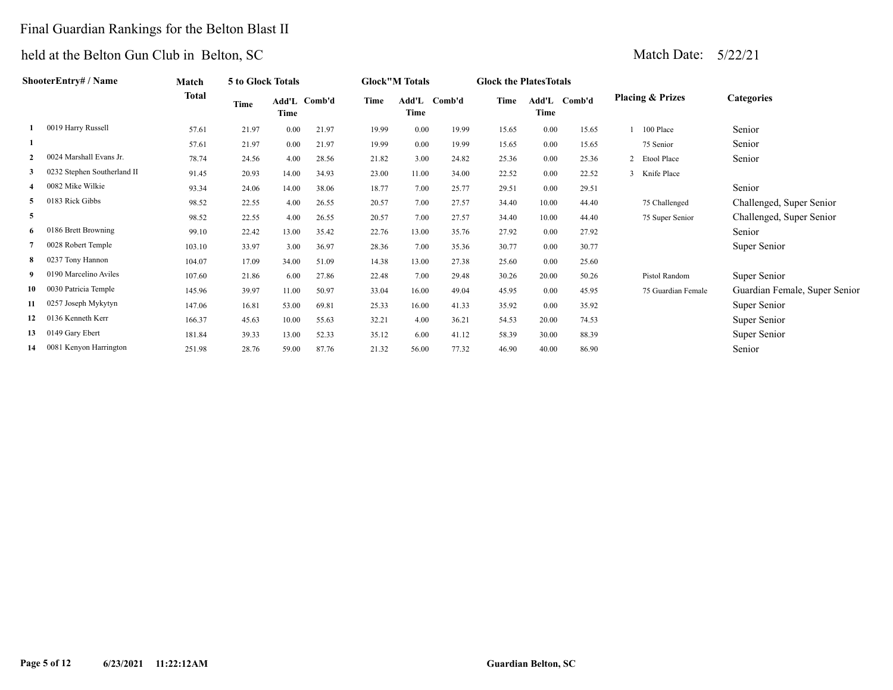# Final Guardian Rankings for the Belton Blast II

|    | ShooterEntry# / Name        | Match  | 5 to Glock Totals |          |              |       | <b>Glock"M Totals</b> |        | <b>Glock the PlatesTotals</b> |          |              |                             |                               |
|----|-----------------------------|--------|-------------------|----------|--------------|-------|-----------------------|--------|-------------------------------|----------|--------------|-----------------------------|-------------------------------|
|    |                             | Total  | Time              | Time     | Add'L Comb'd | Time  | Add'L<br>Time         | Comb'd | Time                          | Time     | Add'L Comb'd | <b>Placing &amp; Prizes</b> | <b>Categories</b>             |
|    | 0019 Harry Russell          | 57.61  | 21.97             | 0.00     | 21.97        | 19.99 | 0.00                  | 19.99  | 15.65                         | 0.00     | 15.65        | 100 Place                   | Senior                        |
|    |                             | 57.61  | 21.97             | $0.00\,$ | 21.97        | 19.99 | 0.00                  | 19.99  | 15.65                         | 0.00     | 15.65        | 75 Senior                   | Senior                        |
|    | 0024 Marshall Evans Jr.     | 78.74  | 24.56             | 4.00     | 28.56        | 21.82 | 3.00                  | 24.82  | 25.36                         | 0.00     | 25.36        | 2 Etool Place               | Senior                        |
| 3  | 0232 Stephen Southerland II | 91.45  | 20.93             | 14.00    | 34.93        | 23.00 | 11.00                 | 34.00  | 22.52                         | 0.00     | 22.52        | 3 Knife Place               |                               |
|    | 0082 Mike Wilkie            | 93.34  | 24.06             | 14.00    | 38.06        | 18.77 | 7.00                  | 25.77  | 29.51                         | 0.00     | 29.51        |                             | Senior                        |
| 5  | 0183 Rick Gibbs             | 98.52  | 22.55             | 4.00     | 26.55        | 20.57 | 7.00                  | 27.57  | 34.40                         | 10.00    | 44.40        | 75 Challenged               | Challenged, Super Senior      |
| 5  |                             | 98.52  | 22.55             | 4.00     | 26.55        | 20.57 | 7.00                  | 27.57  | 34.40                         | 10.00    | 44.40        | 75 Super Senior             | Challenged, Super Senior      |
| 6  | 0186 Brett Browning         | 99.10  | 22.42             | 13.00    | 35.42        | 22.76 | 13.00                 | 35.76  | 27.92                         | 0.00     | 27.92        |                             | Senior                        |
|    | 0028 Robert Temple          | 103.10 | 33.97             | 3.00     | 36.97        | 28.36 | 7.00                  | 35.36  | 30.77                         | $0.00\,$ | 30.77        |                             | Super Senior                  |
| 8  | 0237 Tony Hannon            | 104.07 | 17.09             | 34.00    | 51.09        | 14.38 | 13.00                 | 27.38  | 25.60                         | 0.00     | 25.60        |                             |                               |
|    | 0190 Marcelino Aviles       | 107.60 | 21.86             | 6.00     | 27.86        | 22.48 | 7.00                  | 29.48  | 30.26                         | 20.00    | 50.26        | Pistol Random               | Super Senior                  |
| 10 | 0030 Patricia Temple        | 145.96 | 39.97             | 11.00    | 50.97        | 33.04 | 16.00                 | 49.04  | 45.95                         | 0.00     | 45.95        | 75 Guardian Female          | Guardian Female, Super Senior |
| 11 | 0257 Joseph Mykytyn         | 147.06 | 16.81             | 53.00    | 69.81        | 25.33 | 16.00                 | 41.33  | 35.92                         | 0.00     | 35.92        |                             | Super Senior                  |
|    | 0136 Kenneth Kerr           | 166.37 | 45.63             | 10.00    | 55.63        | 32.21 | 4.00                  | 36.21  | 54.53                         | 20.00    | 74.53        |                             | Super Senior                  |
| 13 | 0149 Gary Ebert             | 181.84 | 39.33             | 13.00    | 52.33        | 35.12 | 6.00                  | 41.12  | 58.39                         | 30.00    | 88.39        |                             | Super Senior                  |
|    | 14 0081 Kenyon Harrington   | 251.98 | 28.76             | 59.00    | 87.76        | 21.32 | 56.00                 | 77.32  | 46.90                         | 40.00    | 86.90        |                             | Senior                        |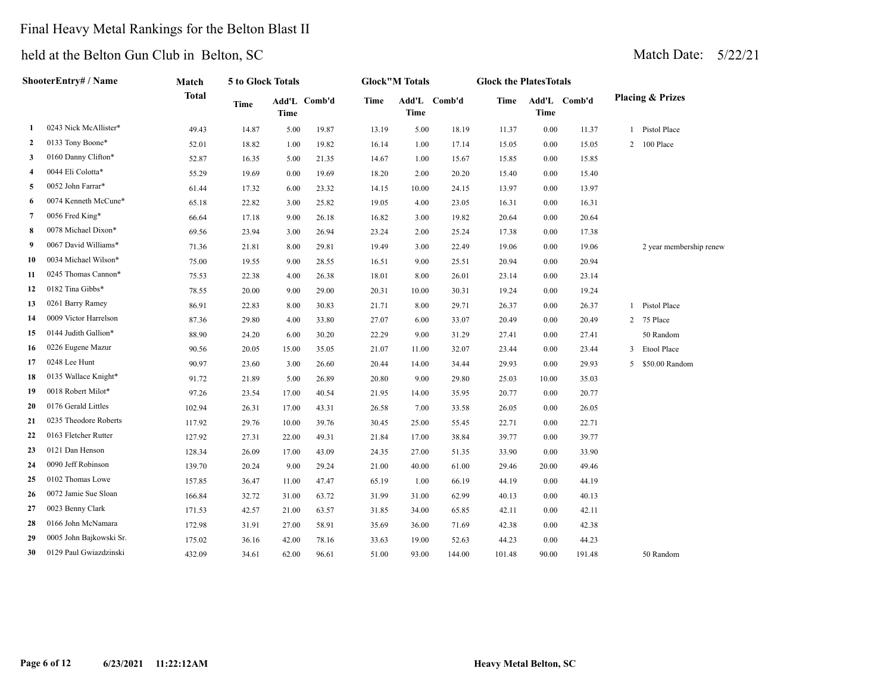## Final Heavy Metal Rankings for the Belton Blast II

|    | ShooterEntry# / Name    | Match        | 5 to Glock Totals |       |              |       | <b>Glock"M Totals</b> |              | <b>Glock the PlatesTotals</b> |       |              |                             |
|----|-------------------------|--------------|-------------------|-------|--------------|-------|-----------------------|--------------|-------------------------------|-------|--------------|-----------------------------|
|    |                         | <b>Total</b> | <b>Time</b>       | Time  | Add'L Comb'd | Time  | <b>Time</b>           | Add'L Comb'd | Time                          | Time  | Add'L Comb'd | <b>Placing &amp; Prizes</b> |
| 1  | 0243 Nick McAllister*   | 49.43        | 14.87             | 5.00  | 19.87        | 13.19 | 5.00                  | 18.19        | 11.37                         | 0.00  | 11.37        | 1 Pistol Place              |
| 2  | 0133 Tony Boone*        | 52.01        | 18.82             | 1.00  | 19.82        | 16.14 | 1.00                  | 17.14        | 15.05                         | 0.00  | 15.05        | 2 100 Place                 |
| 3  | 0160 Danny Clifton*     | 52.87        | 16.35             | 5.00  | 21.35        | 14.67 | 1.00                  | 15.67        | 15.85                         | 0.00  | 15.85        |                             |
| 4  | 0044 Eli Colotta*       | 55.29        | 19.69             | 0.00  | 19.69        | 18.20 | 2.00                  | 20.20        | 15.40                         | 0.00  | 15.40        |                             |
| 5  | 0052 John Farrar*       | 61.44        | 17.32             | 6.00  | 23.32        | 14.15 | 10.00                 | 24.15        | 13.97                         | 0.00  | 13.97        |                             |
| 6  | 0074 Kenneth McCune*    | 65.18        | 22.82             | 3.00  | 25.82        | 19.05 | 4.00                  | 23.05        | 16.31                         | 0.00  | 16.31        |                             |
| 7  | 0056 Fred King*         | 66.64        | 17.18             | 9.00  | 26.18        | 16.82 | 3.00                  | 19.82        | 20.64                         | 0.00  | 20.64        |                             |
| 8  | 0078 Michael Dixon*     | 69.56        | 23.94             | 3.00  | 26.94        | 23.24 | 2.00                  | 25.24        | 17.38                         | 0.00  | 17.38        |                             |
| 9  | 0067 David Williams*    | 71.36        | 21.81             | 8.00  | 29.81        | 19.49 | 3.00                  | 22.49        | 19.06                         | 0.00  | 19.06        | 2 year membership renew     |
| 10 | 0034 Michael Wilson*    | 75.00        | 19.55             | 9.00  | 28.55        | 16.51 | 9.00                  | 25.51        | 20.94                         | 0.00  | 20.94        |                             |
| 11 | 0245 Thomas Cannon*     | 75.53        | 22.38             | 4.00  | 26.38        | 18.01 | 8.00                  | 26.01        | 23.14                         | 0.00  | 23.14        |                             |
| 12 | 0182 Tina Gibbs*        | 78.55        | 20.00             | 9.00  | 29.00        | 20.31 | 10.00                 | 30.31        | 19.24                         | 0.00  | 19.24        |                             |
| 13 | 0261 Barry Ramey        | 86.91        | 22.83             | 8.00  | 30.83        | 21.71 | 8.00                  | 29.71        | 26.37                         | 0.00  | 26.37        | 1 Pistol Place              |
| 14 | 0009 Victor Harrelson   | 87.36        | 29.80             | 4.00  | 33.80        | 27.07 | 6.00                  | 33.07        | 20.49                         | 0.00  | 20.49        | 2 75 Place                  |
| 15 | 0144 Judith Gallion*    | 88.90        | 24.20             | 6.00  | 30.20        | 22.29 | 9.00                  | 31.29        | 27.41                         | 0.00  | 27.41        | 50 Random                   |
| 16 | 0226 Eugene Mazur       | 90.56        | 20.05             | 15.00 | 35.05        | 21.07 | 11.00                 | 32.07        | 23.44                         | 0.00  | 23.44        | 3 Etool Place               |
| 17 | 0248 Lee Hunt           | 90.97        | 23.60             | 3.00  | 26.60        | 20.44 | 14.00                 | 34.44        | 29.93                         | 0.00  | 29.93        | 5 \$50.00 Random            |
| 18 | 0135 Wallace Knight*    | 91.72        | 21.89             | 5.00  | 26.89        | 20.80 | 9.00                  | 29.80        | 25.03                         | 10.00 | 35.03        |                             |
| 19 | 0018 Robert Milot*      | 97.26        | 23.54             | 17.00 | 40.54        | 21.95 | 14.00                 | 35.95        | 20.77                         | 0.00  | 20.77        |                             |
| 20 | 0176 Gerald Littles     | 102.94       | 26.31             | 17.00 | 43.31        | 26.58 | 7.00                  | 33.58        | 26.05                         | 0.00  | 26.05        |                             |
| 21 | 0235 Theodore Roberts   | 117.92       | 29.76             | 10.00 | 39.76        | 30.45 | 25.00                 | 55.45        | 22.71                         | 0.00  | 22.71        |                             |
| 22 | 0163 Fletcher Rutter    | 127.92       | 27.31             | 22.00 | 49.31        | 21.84 | 17.00                 | 38.84        | 39.77                         | 0.00  | 39.77        |                             |
| 23 | 0121 Dan Henson         | 128.34       | 26.09             | 17.00 | 43.09        | 24.35 | 27.00                 | 51.35        | 33.90                         | 0.00  | 33.90        |                             |
| 24 | 0090 Jeff Robinson      | 139.70       | 20.24             | 9.00  | 29.24        | 21.00 | 40.00                 | 61.00        | 29.46                         | 20.00 | 49.46        |                             |
| 25 | 0102 Thomas Lowe        | 157.85       | 36.47             | 11.00 | 47.47        | 65.19 | 1.00                  | 66.19        | 44.19                         | 0.00  | 44.19        |                             |
| 26 | 0072 Jamie Sue Sloan    | 166.84       | 32.72             | 31.00 | 63.72        | 31.99 | 31.00                 | 62.99        | 40.13                         | 0.00  | 40.13        |                             |
| 27 | 0023 Benny Clark        | 171.53       | 42.57             | 21.00 | 63.57        | 31.85 | 34.00                 | 65.85        | 42.11                         | 0.00  | 42.11        |                             |
| 28 | 0166 John McNamara      | 172.98       | 31.91             | 27.00 | 58.91        | 35.69 | 36.00                 | 71.69        | 42.38                         | 0.00  | 42.38        |                             |
| 29 | 0005 John Bajkowski Sr. | 175.02       | 36.16             | 42.00 | 78.16        | 33.63 | 19.00                 | 52.63        | 44.23                         | 0.00  | 44.23        |                             |
| 30 | 0129 Paul Gwiazdzinski  | 432.09       | 34.61             | 62.00 | 96.61        | 51.00 | 93.00                 | 144.00       | 101.48                        | 90.00 | 191.48       | 50 Random                   |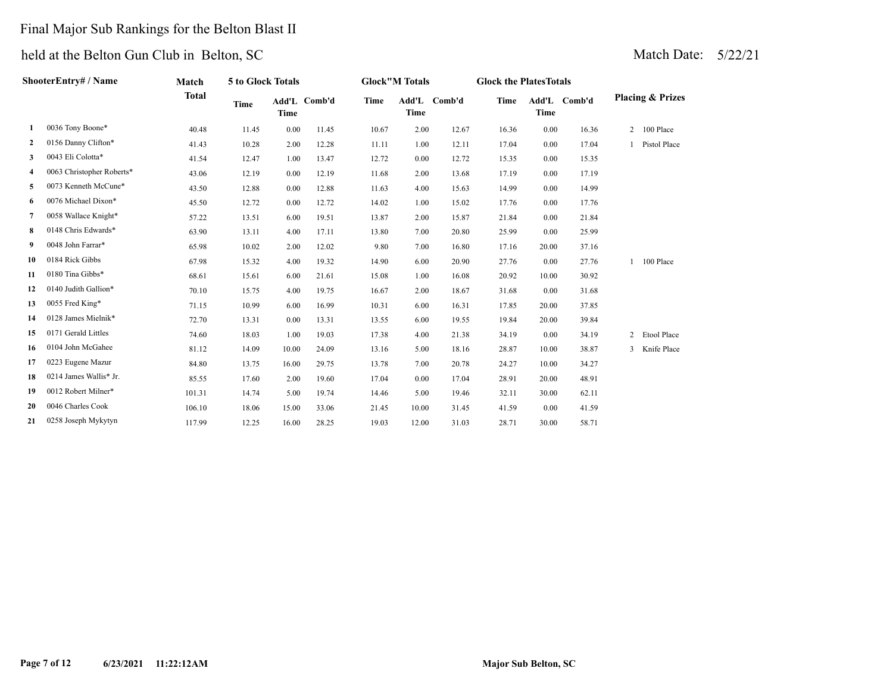## Final Major Sub Rankings for the Belton Blast II

|              | ShooterEntry# / Name      | <b>Match</b> | <b>5 to Glock Totals</b> |             |              |             | <b>Glock</b> "M Totals |              | <b>Glock the PlatesTotals</b> |             |              |                             |
|--------------|---------------------------|--------------|--------------------------|-------------|--------------|-------------|------------------------|--------------|-------------------------------|-------------|--------------|-----------------------------|
|              |                           | <b>Total</b> | <b>Time</b>              | <b>Time</b> | Add'L Comb'd | <b>Time</b> | Time                   | Add'L Comb'd | <b>Time</b>                   | <b>Time</b> | Add'L Comb'd | <b>Placing &amp; Prizes</b> |
| 1            | 0036 Tony Boone*          | 40.48        | 11.45                    | 0.00        | 11.45        | 10.67       | 2.00                   | 12.67        | 16.36                         | 0.00        | 16.36        | 2 100 Place                 |
| $\mathbf{2}$ | 0156 Danny Clifton*       | 41.43        | 10.28                    | 2.00        | 12.28        | 11.11       | 1.00                   | 12.11        | 17.04                         | 0.00        | 17.04        | Pistol Place                |
| 3            | 0043 Eli Colotta*         | 41.54        | 12.47                    | 1.00        | 13.47        | 12.72       | 0.00                   | 12.72        | 15.35                         | 0.00        | 15.35        |                             |
| 4            | 0063 Christopher Roberts* | 43.06        | 12.19                    | 0.00        | 12.19        | 11.68       | 2.00                   | 13.68        | 17.19                         | 0.00        | 17.19        |                             |
| 5            | 0073 Kenneth McCune*      | 43.50        | 12.88                    | 0.00        | 12.88        | 11.63       | 4.00                   | 15.63        | 14.99                         | 0.00        | 14.99        |                             |
| 6            | 0076 Michael Dixon*       | 45.50        | 12.72                    | 0.00        | 12.72        | 14.02       | 1.00                   | 15.02        | 17.76                         | 0.00        | 17.76        |                             |
| 7            | 0058 Wallace Knight*      | 57.22        | 13.51                    | 6.00        | 19.51        | 13.87       | 2.00                   | 15.87        | 21.84                         | 0.00        | 21.84        |                             |
| 8            | 0148 Chris Edwards*       | 63.90        | 13.11                    | 4.00        | 17.11        | 13.80       | 7.00                   | 20.80        | 25.99                         | 0.00        | 25.99        |                             |
| 9            | 0048 John Farrar*         | 65.98        | 10.02                    | 2.00        | 12.02        | 9.80        | 7.00                   | 16.80        | 17.16                         | 20.00       | 37.16        |                             |
| 10           | 0184 Rick Gibbs           | 67.98        | 15.32                    | 4.00        | 19.32        | 14.90       | 6.00                   | 20.90        | 27.76                         | 0.00        | 27.76        | 1 100 Place                 |
| 11           | 0180 Tina Gibbs*          | 68.61        | 15.61                    | 6.00        | 21.61        | 15.08       | 1.00                   | 16.08        | 20.92                         | 10.00       | 30.92        |                             |
| 12           | 0140 Judith Gallion*      | 70.10        | 15.75                    | 4.00        | 19.75        | 16.67       | 2.00                   | 18.67        | 31.68                         | 0.00        | 31.68        |                             |
| 13           | 0055 Fred King*           | 71.15        | 10.99                    | 6.00        | 16.99        | 10.31       | 6.00                   | 16.31        | 17.85                         | 20.00       | 37.85        |                             |
| 14           | 0128 James Mielnik*       | 72.70        | 13.31                    | 0.00        | 13.31        | 13.55       | 6.00                   | 19.55        | 19.84                         | 20.00       | 39.84        |                             |
| 15           | 0171 Gerald Littles       | 74.60        | 18.03                    | 1.00        | 19.03        | 17.38       | 4.00                   | 21.38        | 34.19                         | 0.00        | 34.19        | 2 Etool Place               |
| 16           | 0104 John McGahee         | 81.12        | 14.09                    | 10.00       | 24.09        | 13.16       | 5.00                   | 18.16        | 28.87                         | 10.00       | 38.87        | 3 Knife Place               |
| 17           | 0223 Eugene Mazur         | 84.80        | 13.75                    | 16.00       | 29.75        | 13.78       | 7.00                   | 20.78        | 24.27                         | 10.00       | 34.27        |                             |
| 18           | 0214 James Wallis* Jr.    | 85.55        | 17.60                    | 2.00        | 19.60        | 17.04       | 0.00                   | 17.04        | 28.91                         | 20.00       | 48.91        |                             |
| 19           | 0012 Robert Milner*       | 101.31       | 14.74                    | 5.00        | 19.74        | 14.46       | 5.00                   | 19.46        | 32.11                         | 30.00       | 62.11        |                             |
| 20           | 0046 Charles Cook         | 106.10       | 18.06                    | 15.00       | 33.06        | 21.45       | 10.00                  | 31.45        | 41.59                         | 0.00        | 41.59        |                             |
| 21           | 0258 Joseph Mykytyn       | 117.99       | 12.25                    | 16.00       | 28.25        | 19.03       | 12.00                  | 31.03        | 28.71                         | 30.00       | 58.71        |                             |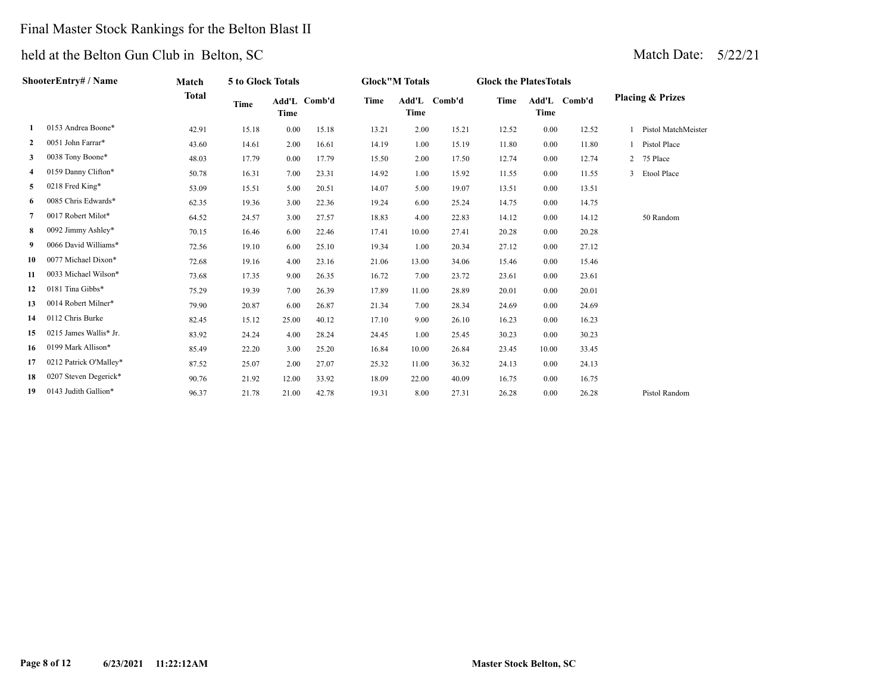## Final Master Stock Rankings for the Belton Blast II

|              | ShooterEntry# / Name   | Match        | 5 to Glock Totals |       |              |             | <b>Glock"M Totals</b> |        | <b>Glock the Plates Totals</b> |       |              |                             |
|--------------|------------------------|--------------|-------------------|-------|--------------|-------------|-----------------------|--------|--------------------------------|-------|--------------|-----------------------------|
|              |                        | <b>Total</b> | <b>Time</b>       | Time  | Add'L Comb'd | <b>Time</b> | Add'L<br>Time         | Comb'd | <b>Time</b>                    | Time  | Add'L Comb'd | <b>Placing &amp; Prizes</b> |
| 1            | 0153 Andrea Boone*     | 42.91        | 15.18             | 0.00  | 15.18        | 13.21       | 2.00                  | 15.21  | 12.52                          | 0.00  | 12.52        | Pistol MatchMeister         |
| $\mathbf{2}$ | 0051 John Farrar*      | 43.60        | 14.61             | 2.00  | 16.61        | 14.19       | 1.00                  | 15.19  | 11.80                          | 0.00  | 11.80        | Pistol Place                |
| 3            | 0038 Tony Boone*       | 48.03        | 17.79             | 0.00  | 17.79        | 15.50       | 2.00                  | 17.50  | 12.74                          | 0.00  | 12.74        | 2 75 Place                  |
| 4            | 0159 Danny Clifton*    | 50.78        | 16.31             | 7.00  | 23.31        | 14.92       | 1.00                  | 15.92  | 11.55                          | 0.00  | 11.55        | 3 Etool Place               |
| 5.           | 0218 Fred King*        | 53.09        | 15.51             | 5.00  | 20.51        | 14.07       | 5.00                  | 19.07  | 13.51                          | 0.00  | 13.51        |                             |
| 6            | 0085 Chris Edwards*    | 62.35        | 19.36             | 3.00  | 22.36        | 19.24       | 6.00                  | 25.24  | 14.75                          | 0.00  | 14.75        |                             |
| 7            | 0017 Robert Milot*     | 64.52        | 24.57             | 3.00  | 27.57        | 18.83       | 4.00                  | 22.83  | 14.12                          | 0.00  | 14.12        | 50 Random                   |
| 8            | 0092 Jimmy Ashley*     | 70.15        | 16.46             | 6.00  | 22.46        | 17.41       | 10.00                 | 27.41  | 20.28                          | 0.00  | 20.28        |                             |
| 9            | 0066 David Williams*   | 72.56        | 19.10             | 6.00  | 25.10        | 19.34       | 1.00                  | 20.34  | 27.12                          | 0.00  | 27.12        |                             |
| 10           | 0077 Michael Dixon*    | 72.68        | 19.16             | 4.00  | 23.16        | 21.06       | 13.00                 | 34.06  | 15.46                          | 0.00  | 15.46        |                             |
| 11           | 0033 Michael Wilson*   | 73.68        | 17.35             | 9.00  | 26.35        | 16.72       | 7.00                  | 23.72  | 23.61                          | 0.00  | 23.61        |                             |
| 12           | 0181 Tina Gibbs*       | 75.29        | 19.39             | 7.00  | 26.39        | 17.89       | 11.00                 | 28.89  | 20.01                          | 0.00  | 20.01        |                             |
| 13           | 0014 Robert Milner*    | 79.90        | 20.87             | 6.00  | 26.87        | 21.34       | 7.00                  | 28.34  | 24.69                          | 0.00  | 24.69        |                             |
| 14           | 0112 Chris Burke       | 82.45        | 15.12             | 25.00 | 40.12        | 17.10       | 9.00                  | 26.10  | 16.23                          | 0.00  | 16.23        |                             |
| 15           | 0215 James Wallis* Jr. | 83.92        | 24.24             | 4.00  | 28.24        | 24.45       | 1.00                  | 25.45  | 30.23                          | 0.00  | 30.23        |                             |
| 16           | 0199 Mark Allison*     | 85.49        | 22.20             | 3.00  | 25.20        | 16.84       | 10.00                 | 26.84  | 23.45                          | 10.00 | 33.45        |                             |
| 17           | 0212 Patrick O'Malley* | 87.52        | 25.07             | 2.00  | 27.07        | 25.32       | 11.00                 | 36.32  | 24.13                          | 0.00  | 24.13        |                             |
| 18           | 0207 Steven Degerick*  | 90.76        | 21.92             | 12.00 | 33.92        | 18.09       | 22.00                 | 40.09  | 16.75                          | 0.00  | 16.75        |                             |
| 19           | 0143 Judith Gallion*   | 96.37        | 21.78             | 21.00 | 42.78        | 19.31       | 8.00                  | 27.31  | 26.28                          | 0.00  | 26.28        | Pistol Random               |
|              |                        |              |                   |       |              |             |                       |        |                                |       |              |                             |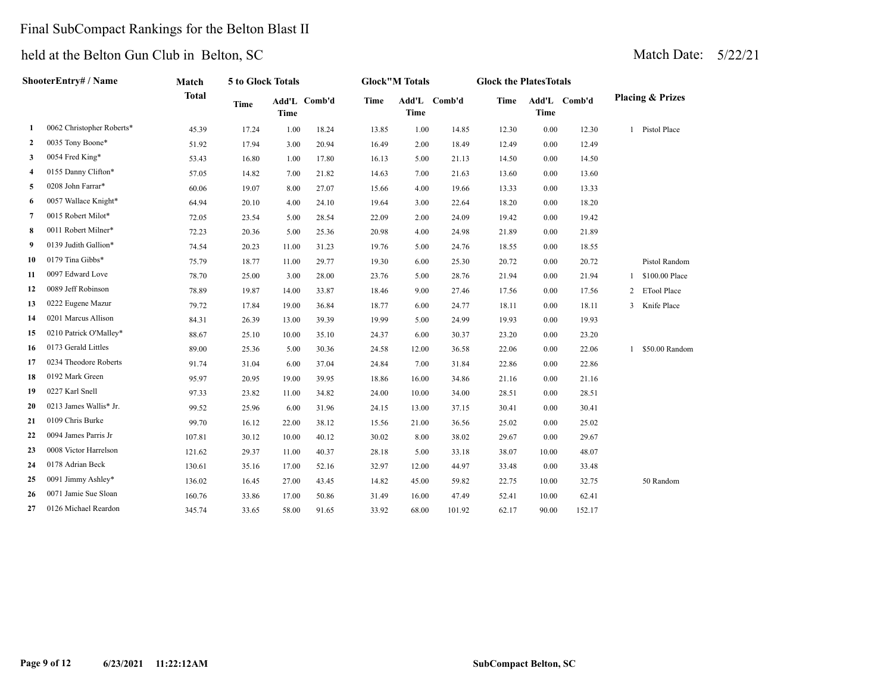## Final SubCompact Rankings for the Belton Blast II

| <b>ShooterEntry# / Name</b> |                           | Match        | 5 to Glock Totals |             |              | <b>Glock</b> "M Totals |                      |        | <b>Glock the PlatesTotals</b> |             |              |                             |                    |
|-----------------------------|---------------------------|--------------|-------------------|-------------|--------------|------------------------|----------------------|--------|-------------------------------|-------------|--------------|-----------------------------|--------------------|
|                             |                           | <b>Total</b> | <b>Time</b>       | <b>Time</b> | Add'L Comb'd | <b>Time</b>            | Add'L<br><b>Time</b> | Comb'd | <b>Time</b>                   | <b>Time</b> | Add'L Comb'd | <b>Placing &amp; Prizes</b> |                    |
| 1                           | 0062 Christopher Roberts* | 45.39        | 17.24             | 1.00        | 18.24        | 13.85                  | 1.00                 | 14.85  | 12.30                         | $0.00\,$    | 12.30        | 1                           | Pistol Place       |
| $\mathbf{2}$                | 0035 Tony Boone*          | 51.92        | 17.94             | 3.00        | 20.94        | 16.49                  | 2.00                 | 18.49  | 12.49                         | 0.00        | 12.49        |                             |                    |
| 3                           | 0054 Fred King*           | 53.43        | 16.80             | 1.00        | 17.80        | 16.13                  | 5.00                 | 21.13  | 14.50                         | 0.00        | 14.50        |                             |                    |
| 4                           | 0155 Danny Clifton*       | 57.05        | 14.82             | 7.00        | 21.82        | 14.63                  | 7.00                 | 21.63  | 13.60                         | 0.00        | 13.60        |                             |                    |
| 5                           | 0208 John Farrar*         | 60.06        | 19.07             | 8.00        | 27.07        | 15.66                  | 4.00                 | 19.66  | 13.33                         | 0.00        | 13.33        |                             |                    |
| 6                           | 0057 Wallace Knight*      | 64.94        | 20.10             | 4.00        | 24.10        | 19.64                  | 3.00                 | 22.64  | 18.20                         | 0.00        | 18.20        |                             |                    |
| 7                           | 0015 Robert Milot*        | 72.05        | 23.54             | 5.00        | 28.54        | 22.09                  | 2.00                 | 24.09  | 19.42                         | 0.00        | 19.42        |                             |                    |
| 8                           | 0011 Robert Milner*       | 72.23        | 20.36             | 5.00        | 25.36        | 20.98                  | 4.00                 | 24.98  | 21.89                         | 0.00        | 21.89        |                             |                    |
| 9                           | 0139 Judith Gallion*      | 74.54        | 20.23             | 11.00       | 31.23        | 19.76                  | 5.00                 | 24.76  | 18.55                         | 0.00        | 18.55        |                             |                    |
| 10                          | 0179 Tina Gibbs*          | 75.79        | 18.77             | 11.00       | 29.77        | 19.30                  | 6.00                 | 25.30  | 20.72                         | 0.00        | 20.72        |                             | Pistol Random      |
| 11                          | 0097 Edward Love          | 78.70        | 25.00             | 3.00        | 28.00        | 23.76                  | 5.00                 | 28.76  | 21.94                         | 0.00        | 21.94        | 1                           | \$100.00 Place     |
| 12                          | 0089 Jeff Robinson        | 78.89        | 19.87             | 14.00       | 33.87        | 18.46                  | 9.00                 | 27.46  | 17.56                         | 0.00        | 17.56        | 2                           | <b>ETool Place</b> |
| 13                          | 0222 Eugene Mazur         | 79.72        | 17.84             | 19.00       | 36.84        | 18.77                  | 6.00                 | 24.77  | 18.11                         | 0.00        | 18.11        | 3                           | Knife Place        |
| 14                          | 0201 Marcus Allison       | 84.31        | 26.39             | 13.00       | 39.39        | 19.99                  | 5.00                 | 24.99  | 19.93                         | 0.00        | 19.93        |                             |                    |
| 15                          | 0210 Patrick O'Malley*    | 88.67        | 25.10             | 10.00       | 35.10        | 24.37                  | 6.00                 | 30.37  | 23.20                         | 0.00        | 23.20        |                             |                    |
| 16                          | 0173 Gerald Littles       | 89.00        | 25.36             | 5.00        | 30.36        | 24.58                  | 12.00                | 36.58  | 22.06                         | 0.00        | 22.06        |                             | \$50.00 Random     |
| 17                          | 0234 Theodore Roberts     | 91.74        | 31.04             | 6.00        | 37.04        | 24.84                  | 7.00                 | 31.84  | 22.86                         | 0.00        | 22.86        |                             |                    |
| 18                          | 0192 Mark Green           | 95.97        | 20.95             | 19.00       | 39.95        | 18.86                  | 16.00                | 34.86  | 21.16                         | 0.00        | 21.16        |                             |                    |
| 19                          | 0227 Karl Snell           | 97.33        | 23.82             | 11.00       | 34.82        | 24.00                  | 10.00                | 34.00  | 28.51                         | 0.00        | 28.51        |                             |                    |
| 20                          | 0213 James Wallis* Jr.    | 99.52        | 25.96             | 6.00        | 31.96        | 24.15                  | 13.00                | 37.15  | 30.41                         | 0.00        | 30.41        |                             |                    |
| 21                          | 0109 Chris Burke          | 99.70        | 16.12             | 22.00       | 38.12        | 15.56                  | 21.00                | 36.56  | 25.02                         | 0.00        | 25.02        |                             |                    |
| 22                          | 0094 James Parris Jr      | 107.81       | 30.12             | 10.00       | 40.12        | 30.02                  | 8.00                 | 38.02  | 29.67                         | $0.00\,$    | 29.67        |                             |                    |
| 23                          | 0008 Victor Harrelson     | 121.62       | 29.37             | 11.00       | 40.37        | 28.18                  | 5.00                 | 33.18  | 38.07                         | 10.00       | 48.07        |                             |                    |
| 24                          | 0178 Adrian Beck          | 130.61       | 35.16             | 17.00       | 52.16        | 32.97                  | 12.00                | 44.97  | 33.48                         | 0.00        | 33.48        |                             |                    |
| 25                          | 0091 Jimmy Ashley*        | 136.02       | 16.45             | 27.00       | 43.45        | 14.82                  | 45.00                | 59.82  | 22.75                         | 10.00       | 32.75        |                             | 50 Random          |
| 26                          | 0071 Jamie Sue Sloan      | 160.76       | 33.86             | 17.00       | 50.86        | 31.49                  | 16.00                | 47.49  | 52.41                         | 10.00       | 62.41        |                             |                    |
| 27                          | 0126 Michael Reardon      | 345.74       | 33.65             | 58.00       | 91.65        | 33.92                  | 68.00                | 101.92 | 62.17                         | 90.00       | 152.17       |                             |                    |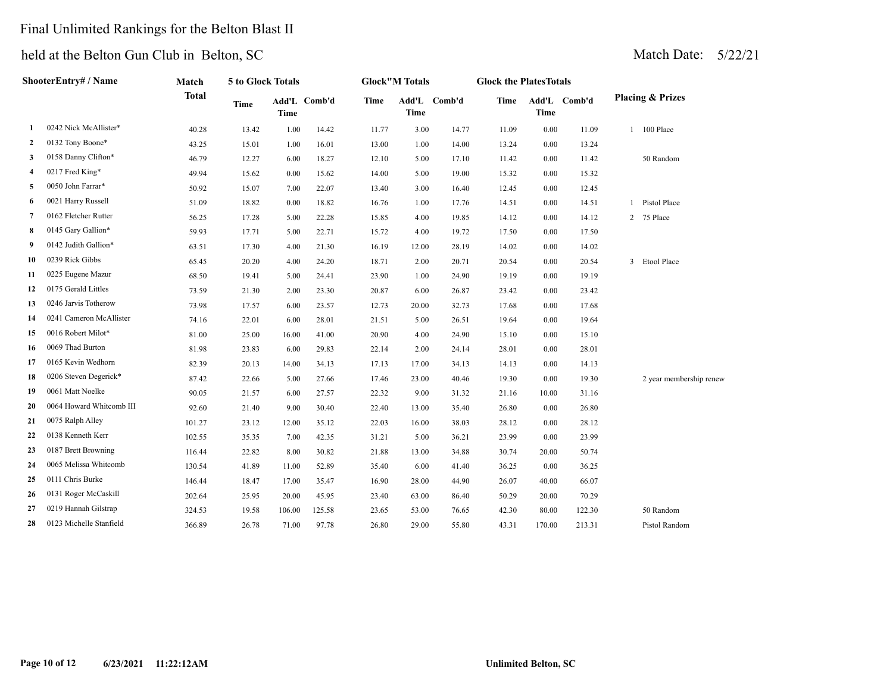## Final Unlimited Rankings for the Belton Blast II

| ShooterEntry# / Name |                          | Match        | 5 to Glock Totals |             |              | <b>Glock"M Totals</b> |             |              | <b>Glock the PlatesTotals</b> |             |              |                             |  |  |
|----------------------|--------------------------|--------------|-------------------|-------------|--------------|-----------------------|-------------|--------------|-------------------------------|-------------|--------------|-----------------------------|--|--|
|                      |                          | <b>Total</b> | Time              | <b>Time</b> | Add'L Comb'd | Time                  | <b>Time</b> | Add'L Comb'd | Time                          | <b>Time</b> | Add'L Comb'd | <b>Placing &amp; Prizes</b> |  |  |
| 1                    | 0242 Nick McAllister*    | 40.28        | 13.42             | 1.00        | 14.42        | 11.77                 | 3.00        | 14.77        | 11.09                         | 0.00        | 11.09        | 1 100 Place                 |  |  |
| 2                    | 0132 Tony Boone*         | 43.25        | 15.01             | 1.00        | 16.01        | 13.00                 | 1.00        | 14.00        | 13.24                         | 0.00        | 13.24        |                             |  |  |
| 3                    | 0158 Danny Clifton*      | 46.79        | 12.27             | 6.00        | 18.27        | 12.10                 | 5.00        | 17.10        | 11.42                         | 0.00        | 11.42        | 50 Random                   |  |  |
| 4                    | 0217 Fred King*          | 49.94        | 15.62             | 0.00        | 15.62        | 14.00                 | 5.00        | 19.00        | 15.32                         | 0.00        | 15.32        |                             |  |  |
| 5                    | 0050 John Farrar*        | 50.92        | 15.07             | 7.00        | 22.07        | 13.40                 | 3.00        | 16.40        | 12.45                         | 0.00        | 12.45        |                             |  |  |
| 6                    | 0021 Harry Russell       | 51.09        | 18.82             | 0.00        | 18.82        | 16.76                 | 1.00        | 17.76        | 14.51                         | 0.00        | 14.51        | Pistol Place                |  |  |
| 7                    | 0162 Fletcher Rutter     | 56.25        | 17.28             | 5.00        | 22.28        | 15.85                 | 4.00        | 19.85        | 14.12                         | 0.00        | 14.12        | 2 75 Place                  |  |  |
| 8                    | 0145 Gary Gallion*       | 59.93        | 17.71             | 5.00        | 22.71        | 15.72                 | 4.00        | 19.72        | 17.50                         | 0.00        | 17.50        |                             |  |  |
| 9                    | 0142 Judith Gallion*     | 63.51        | 17.30             | 4.00        | 21.30        | 16.19                 | 12.00       | 28.19        | 14.02                         | 0.00        | 14.02        |                             |  |  |
| 10                   | 0239 Rick Gibbs          | 65.45        | 20.20             | 4.00        | 24.20        | 18.71                 | 2.00        | 20.71        | 20.54                         | 0.00        | 20.54        | 3 Etool Place               |  |  |
| 11                   | 0225 Eugene Mazur        | 68.50        | 19.41             | 5.00        | 24.41        | 23.90                 | 1.00        | 24.90        | 19.19                         | 0.00        | 19.19        |                             |  |  |
| 12                   | 0175 Gerald Littles      | 73.59        | 21.30             | 2.00        | 23.30        | 20.87                 | 6.00        | 26.87        | 23.42                         | 0.00        | 23.42        |                             |  |  |
| 13                   | 0246 Jarvis Totherow     | 73.98        | 17.57             | 6.00        | 23.57        | 12.73                 | 20.00       | 32.73        | 17.68                         | 0.00        | 17.68        |                             |  |  |
| 14                   | 0241 Cameron McAllister  | 74.16        | 22.01             | 6.00        | 28.01        | 21.51                 | 5.00        | 26.51        | 19.64                         | 0.00        | 19.64        |                             |  |  |
| 15                   | 0016 Robert Milot*       | 81.00        | 25.00             | 16.00       | 41.00        | 20.90                 | 4.00        | 24.90        | 15.10                         | 0.00        | 15.10        |                             |  |  |
| 16                   | 0069 Thad Burton         | 81.98        | 23.83             | 6.00        | 29.83        | 22.14                 | 2.00        | 24.14        | 28.01                         | 0.00        | 28.01        |                             |  |  |
| 17                   | 0165 Kevin Wedhorn       | 82.39        | 20.13             | 14.00       | 34.13        | 17.13                 | 17.00       | 34.13        | 14.13                         | 0.00        | 14.13        |                             |  |  |
| 18                   | 0206 Steven Degerick*    | 87.42        | 22.66             | 5.00        | 27.66        | 17.46                 | 23.00       | 40.46        | 19.30                         | 0.00        | 19.30        | 2 year membership renew     |  |  |
| 19                   | 0061 Matt Noelke         | 90.05        | 21.57             | 6.00        | 27.57        | 22.32                 | 9.00        | 31.32        | 21.16                         | 10.00       | 31.16        |                             |  |  |
| 20                   | 0064 Howard Whitcomb III | 92.60        | 21.40             | 9.00        | 30.40        | 22.40                 | 13.00       | 35.40        | 26.80                         | 0.00        | 26.80        |                             |  |  |
| 21                   | 0075 Ralph Alley         | 101.27       | 23.12             | 12.00       | 35.12        | 22.03                 | 16.00       | 38.03        | 28.12                         | 0.00        | 28.12        |                             |  |  |
| 22                   | 0138 Kenneth Kerr        | 102.55       | 35.35             | 7.00        | 42.35        | 31.21                 | 5.00        | 36.21        | 23.99                         | 0.00        | 23.99        |                             |  |  |
| 23                   | 0187 Brett Browning      | 116.44       | 22.82             | 8.00        | 30.82        | 21.88                 | 13.00       | 34.88        | 30.74                         | 20.00       | 50.74        |                             |  |  |
| 24                   | 0065 Melissa Whitcomb    | 130.54       | 41.89             | 11.00       | 52.89        | 35.40                 | 6.00        | 41.40        | 36.25                         | 0.00        | 36.25        |                             |  |  |
| 25                   | 0111 Chris Burke         | 146.44       | 18.47             | 17.00       | 35.47        | 16.90                 | 28.00       | 44.90        | 26.07                         | 40.00       | 66.07        |                             |  |  |
| 26                   | 0131 Roger McCaskill     | 202.64       | 25.95             | 20.00       | 45.95        | 23.40                 | 63.00       | 86.40        | 50.29                         | 20.00       | 70.29        |                             |  |  |
| 27                   | 0219 Hannah Gilstrap     | 324.53       | 19.58             | 106.00      | 125.58       | 23.65                 | 53.00       | 76.65        | 42.30                         | 80.00       | 122.30       | 50 Random                   |  |  |
| 28                   | 0123 Michelle Stanfield  | 366.89       | 26.78             | 71.00       | 97.78        | 26.80                 | 29.00       | 55.80        | 43.31                         | 170.00      | 213.31       | Pistol Random               |  |  |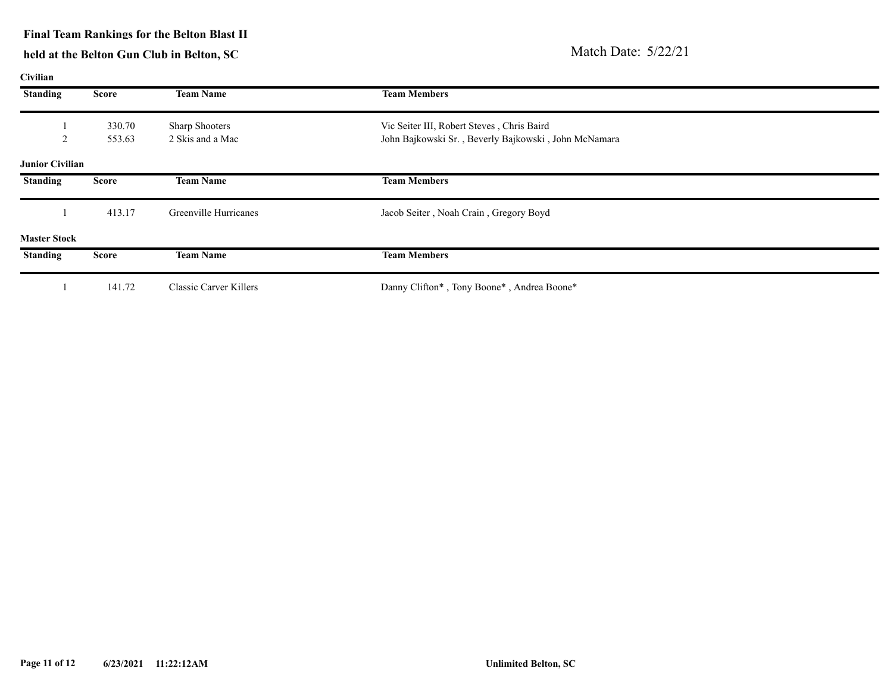#### **Final Team Rankings for the Belton Blast II**

| Civilian               |              |                              |                                                      |  |  |  |  |  |
|------------------------|--------------|------------------------------|------------------------------------------------------|--|--|--|--|--|
| <b>Standing</b>        | <b>Score</b> | <b>Team Name</b>             | <b>Team Members</b>                                  |  |  |  |  |  |
|                        | 330.70       | <b>Sharp Shooters</b>        | Vic Seiter III, Robert Steves, Chris Baird           |  |  |  |  |  |
| $\overline{c}$         | 553.63       | 2 Skis and a Mac             | John Bajkowski Sr., Beverly Bajkowski, John McNamara |  |  |  |  |  |
| <b>Junior Civilian</b> |              |                              |                                                      |  |  |  |  |  |
| <b>Standing</b>        | <b>Score</b> | <b>Team Name</b>             | <b>Team Members</b>                                  |  |  |  |  |  |
|                        | 413.17       | <b>Greenville Hurricanes</b> | Jacob Seiter, Noah Crain, Gregory Boyd               |  |  |  |  |  |
| <b>Master Stock</b>    |              |                              |                                                      |  |  |  |  |  |
| <b>Standing</b>        | <b>Score</b> | <b>Team Name</b>             | <b>Team Members</b>                                  |  |  |  |  |  |
|                        | 141.72       | Classic Carver Killers       | Danny Clifton*, Tony Boone*, Andrea Boone*           |  |  |  |  |  |